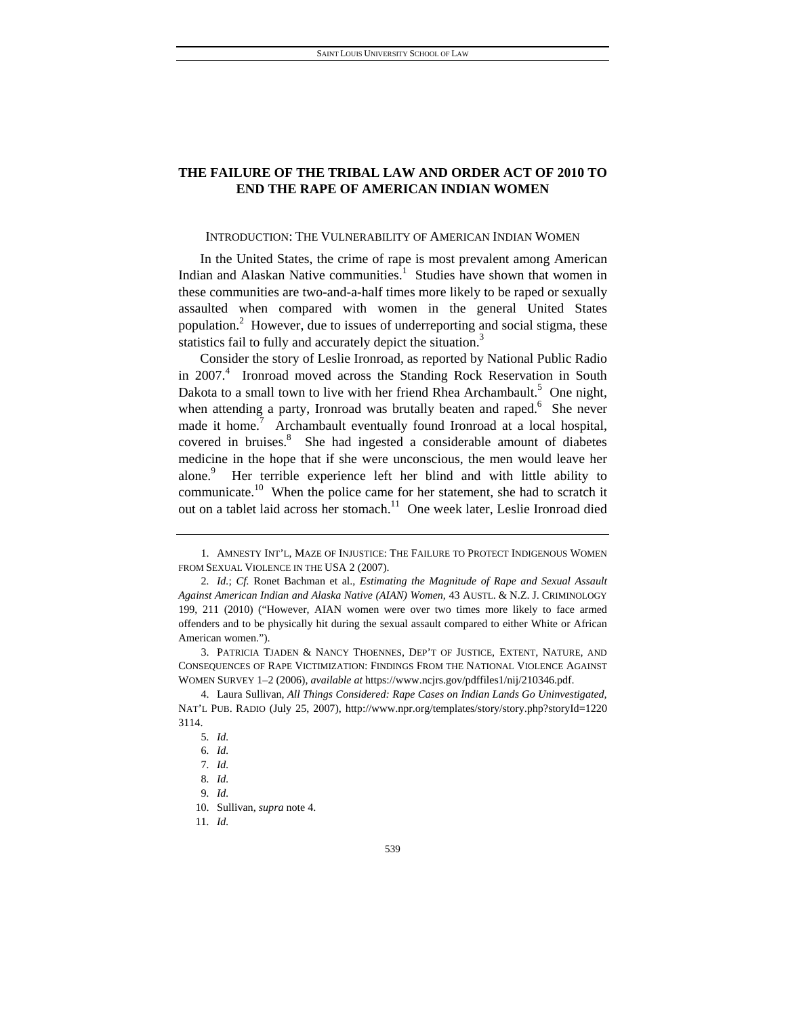# **THE FAILURE OF THE TRIBAL LAW AND ORDER ACT OF 2010 TO END THE RAPE OF AMERICAN INDIAN WOMEN**

## INTRODUCTION: THE VULNERABILITY OF AMERICAN INDIAN WOMEN

In the United States, the crime of rape is most prevalent among American Indian and Alaskan Native communities.<sup>1</sup> Studies have shown that women in these communities are two-and-a-half times more likely to be raped or sexually assaulted when compared with women in the general United States population.<sup>2</sup> However, due to issues of underreporting and social stigma, these statistics fail to fully and accurately depict the situation.<sup>3</sup>

Consider the story of Leslie Ironroad, as reported by National Public Radio in 2007.<sup>4</sup> Ironroad moved across the Standing Rock Reservation in South Dakota to a small town to live with her friend Rhea Archambault.<sup>5</sup> One night, when attending a party, Ironroad was brutally beaten and raped.<sup>6</sup> She never made it home.<sup>7</sup> Archambault eventually found Ironroad at a local hospital, covered in bruises.<sup>8</sup> She had ingested a considerable amount of diabetes medicine in the hope that if she were unconscious, the men would leave her alone.<sup>9</sup> Her terrible experience left her blind and with little ability to communicate.<sup>10</sup> When the police came for her statement, she had to scratch it out on a tablet laid across her stomach.<sup>11</sup> One week later, Leslie Ironroad died

 <sup>1.</sup> AMNESTY INT'L, MAZE OF INJUSTICE: THE FAILURE TO PROTECT INDIGENOUS WOMEN FROM SEXUAL VIOLENCE IN THE USA 2 (2007).

<sup>2</sup>*. Id.*; *Cf.* Ronet Bachman et al., *Estimating the Magnitude of Rape and Sexual Assault Against American Indian and Alaska Native (AIAN) Women*, 43 AUSTL. & N.Z. J. CRIMINOLOGY 199, 211 (2010) ("However, AIAN women were over two times more likely to face armed offenders and to be physically hit during the sexual assault compared to either White or African American women.").

 <sup>3.</sup> PATRICIA TJADEN & NANCY THOENNES, DEP'T OF JUSTICE, EXTENT, NATURE, AND CONSEQUENCES OF RAPE VICTIMIZATION: FINDINGS FROM THE NATIONAL VIOLENCE AGAINST WOMEN SURVEY 1–2 (2006), *available at* https://www.ncjrs.gov/pdffiles1/nij/210346.pdf.

 <sup>4.</sup> Laura Sullivan, *All Things Considered: Rape Cases on Indian Lands Go Uninvestigated,*  NAT'L PUB. RADIO (July 25, 2007), http://www.npr.org/templates/story/story.php?storyId=1220 3114.

<sup>5</sup>*. Id.*

<sup>6</sup>*. Id.*

<sup>7</sup>*. Id.*

<sup>8</sup>*. Id.*

<sup>9</sup>*. Id.*

 <sup>10.</sup> Sullivan, *supra* note 4.

<sup>11</sup>*. Id.*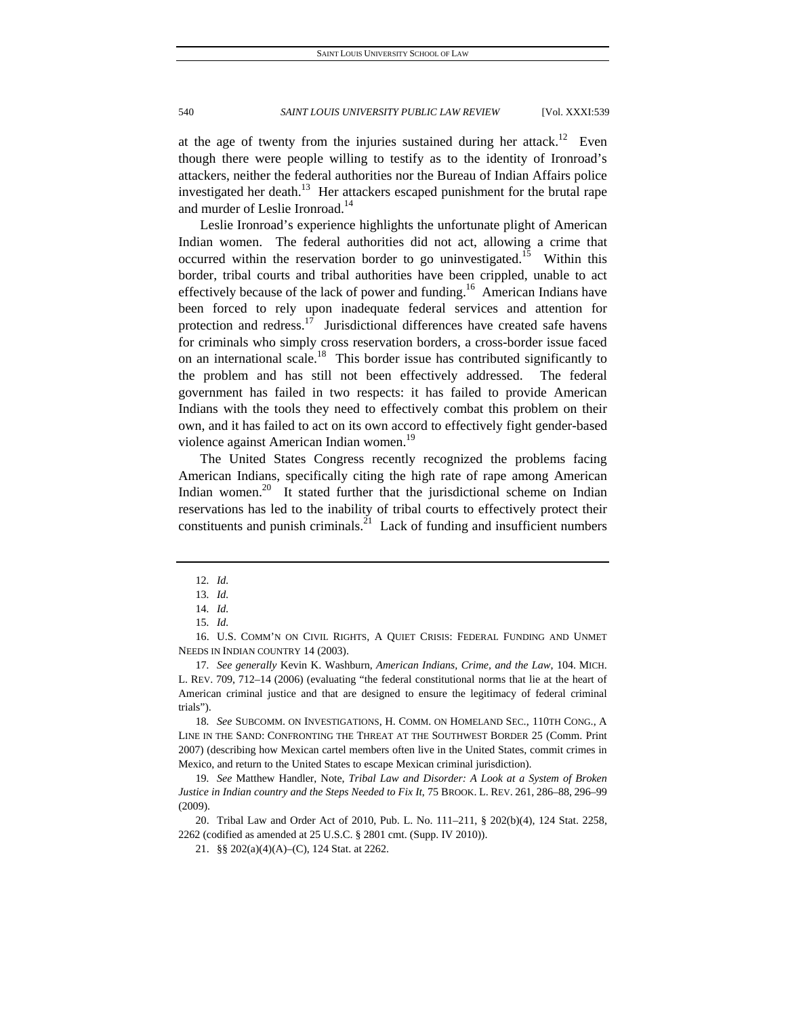at the age of twenty from the injuries sustained during her attack.<sup>12</sup> Even though there were people willing to testify as to the identity of Ironroad's attackers, neither the federal authorities nor the Bureau of Indian Affairs police investigated her death.<sup>13</sup> Her attackers escaped punishment for the brutal rape and murder of Leslie Ironroad.<sup>14</sup>

Leslie Ironroad's experience highlights the unfortunate plight of American Indian women. The federal authorities did not act, allowing a crime that occurred within the reservation border to go uninvestigated.<sup>15</sup> Within this border, tribal courts and tribal authorities have been crippled, unable to act effectively because of the lack of power and funding.<sup>16</sup> American Indians have been forced to rely upon inadequate federal services and attention for protection and redress.<sup>17</sup> Jurisdictional differences have created safe havens for criminals who simply cross reservation borders, a cross-border issue faced on an international scale.<sup>18</sup> This border issue has contributed significantly to the problem and has still not been effectively addressed. The federal government has failed in two respects: it has failed to provide American Indians with the tools they need to effectively combat this problem on their own, and it has failed to act on its own accord to effectively fight gender-based violence against American Indian women.<sup>19</sup>

The United States Congress recently recognized the problems facing American Indians, specifically citing the high rate of rape among American Indian women.<sup>20</sup> It stated further that the jurisdictional scheme on Indian reservations has led to the inability of tribal courts to effectively protect their constituents and punish criminals. $^{21}$  Lack of funding and insufficient numbers

<sup>12</sup>*. Id.*

<sup>13</sup>*. Id.*

<sup>14</sup>*. Id.*

<sup>15</sup>*. Id.*

 <sup>16.</sup> U.S. COMM'N ON CIVIL RIGHTS, A QUIET CRISIS: FEDERAL FUNDING AND UNMET NEEDS IN INDIAN COUNTRY 14 (2003).

<sup>17</sup>*. See generally* Kevin K. Washburn, *American Indians, Crime, and the Law*, 104. MICH. L. REV. 709, 712–14 (2006) (evaluating "the federal constitutional norms that lie at the heart of American criminal justice and that are designed to ensure the legitimacy of federal criminal trials").

<sup>18</sup>*. See* SUBCOMM. ON INVESTIGATIONS, H. COMM. ON HOMELAND SEC., 110TH CONG., A LINE IN THE SAND: CONFRONTING THE THREAT AT THE SOUTHWEST BORDER 25 (Comm. Print 2007) (describing how Mexican cartel members often live in the United States, commit crimes in Mexico, and return to the United States to escape Mexican criminal jurisdiction).

<sup>19</sup>*. See* Matthew Handler, Note, *Tribal Law and Disorder: A Look at a System of Broken Justice in Indian country and the Steps Needed to Fix It*, 75 BROOK. L. REV. 261, 286–88, 296–99 (2009).

 <sup>20.</sup> Tribal Law and Order Act of 2010, Pub. L. No. 111–211, § 202(b)(4), 124 Stat. 2258, 2262 (codified as amended at 25 U.S.C. § 2801 cmt. (Supp. IV 2010)).

 <sup>21. §§ 202(</sup>a)(4)(A)–(C), 124 Stat. at 2262.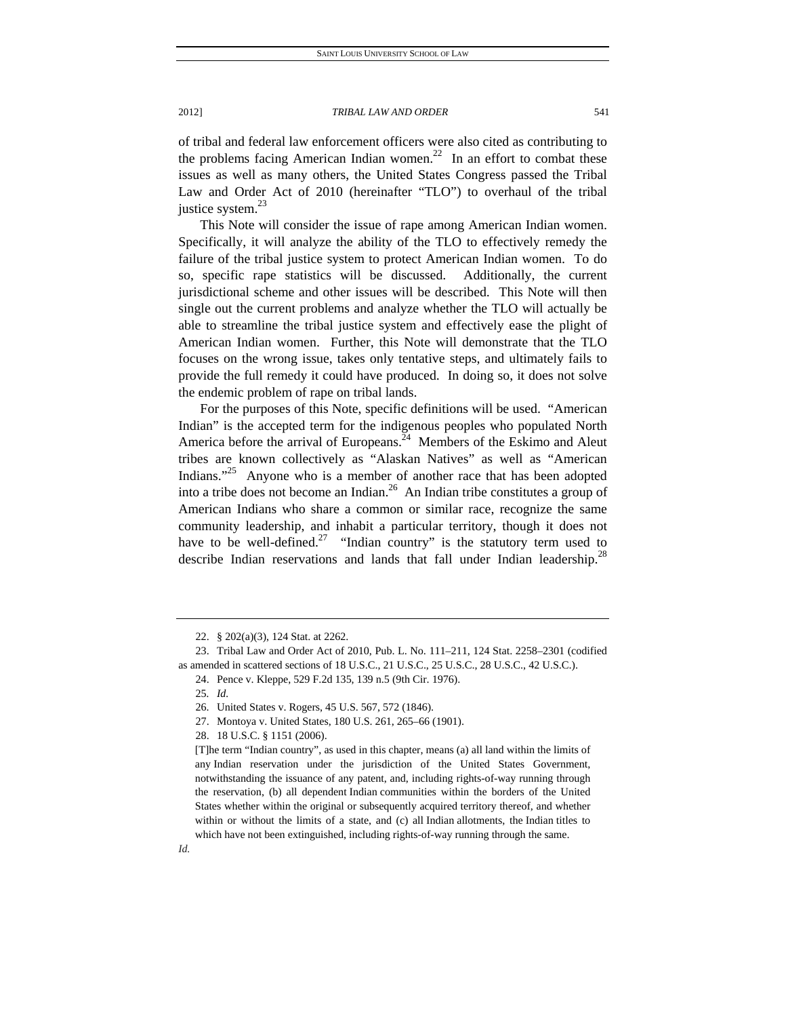of tribal and federal law enforcement officers were also cited as contributing to the problems facing American Indian women.<sup>22</sup> In an effort to combat these issues as well as many others, the United States Congress passed the Tribal Law and Order Act of 2010 (hereinafter "TLO") to overhaul of the tribal justice system. $^{23}$ 

This Note will consider the issue of rape among American Indian women. Specifically, it will analyze the ability of the TLO to effectively remedy the failure of the tribal justice system to protect American Indian women. To do so, specific rape statistics will be discussed. Additionally, the current jurisdictional scheme and other issues will be described. This Note will then single out the current problems and analyze whether the TLO will actually be able to streamline the tribal justice system and effectively ease the plight of American Indian women. Further, this Note will demonstrate that the TLO focuses on the wrong issue, takes only tentative steps, and ultimately fails to provide the full remedy it could have produced. In doing so, it does not solve the endemic problem of rape on tribal lands.

For the purposes of this Note, specific definitions will be used. "American Indian" is the accepted term for the indigenous peoples who populated North America before the arrival of Europeans.<sup>24</sup> Members of the Eskimo and Aleut tribes are known collectively as "Alaskan Natives" as well as "American Indians. $25$  Anyone who is a member of another race that has been adopted into a tribe does not become an Indian.26 An Indian tribe constitutes a group of American Indians who share a common or similar race, recognize the same community leadership, and inhabit a particular territory, though it does not have to be well-defined.<sup>27</sup> "Indian country" is the statutory term used to describe Indian reservations and lands that fall under Indian leadership.<sup>28</sup>

24. Pence v. Kleppe, 529 F.2d 135, 139 n.5 (9th Cir. 1976).

 <sup>22. § 202(</sup>a)(3), 124 Stat. at 2262.

 <sup>23.</sup> Tribal Law and Order Act of 2010, Pub. L. No. 111–211, 124 Stat. 2258–2301 (codified as amended in scattered sections of 18 U.S.C., 21 U.S.C., 25 U.S.C., 28 U.S.C., 42 U.S.C.).

<sup>25</sup>*. Id.*

 <sup>26.</sup> United States v. Rogers, 45 U.S. 567, 572 (1846).

 <sup>27.</sup> Montoya v. United States, 180 U.S. 261, 265–66 (1901).

 <sup>28. 18</sup> U.S.C. § 1151 (2006).

<sup>[</sup>T]he term "Indian country", as used in this chapter, means (a) all land within the limits of any Indian reservation under the jurisdiction of the United States Government, notwithstanding the issuance of any patent, and, including rights-of-way running through the reservation, (b) all dependent Indian communities within the borders of the United States whether within the original or subsequently acquired territory thereof, and whether within or without the limits of a state, and (c) all Indian allotments, the Indian titles to which have not been extinguished, including rights-of-way running through the same.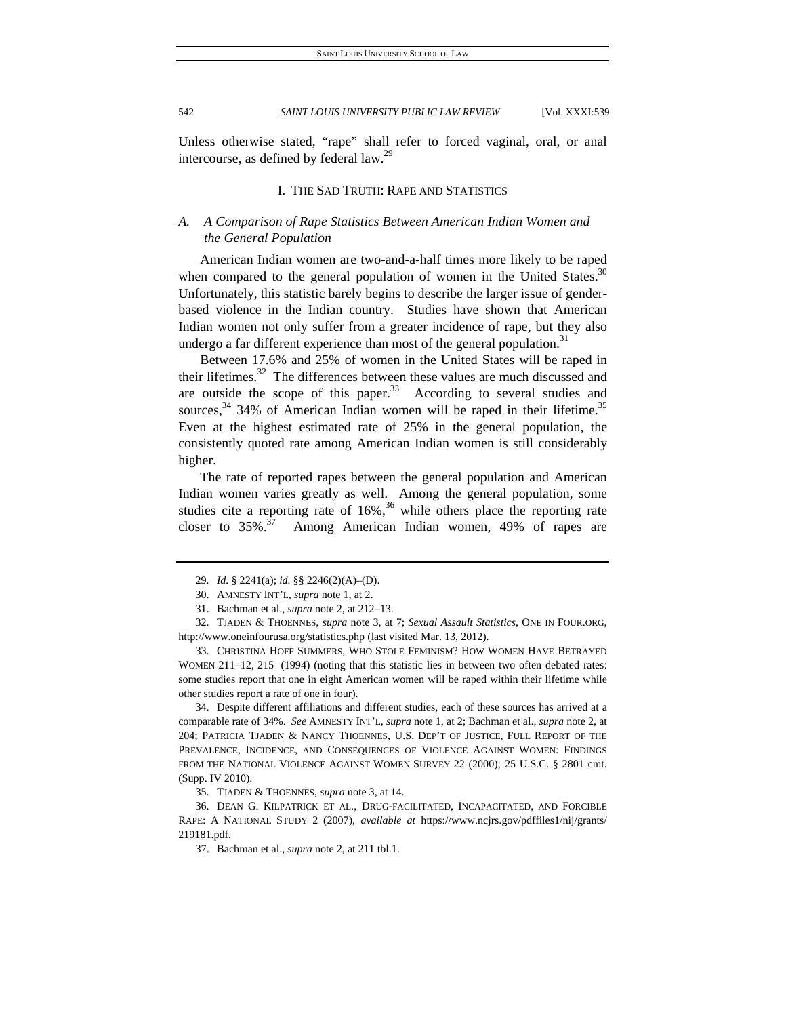Unless otherwise stated, "rape" shall refer to forced vaginal, oral, or anal intercourse, as defined by federal law.<sup>29</sup>

# I. THE SAD TRUTH: RAPE AND STATISTICS

# *A. A Comparison of Rape Statistics Between American Indian Women and the General Population*

American Indian women are two-and-a-half times more likely to be raped when compared to the general population of women in the United States.<sup>30</sup> Unfortunately, this statistic barely begins to describe the larger issue of genderbased violence in the Indian country. Studies have shown that American Indian women not only suffer from a greater incidence of rape, but they also undergo a far different experience than most of the general population.<sup>31</sup>

Between 17.6% and 25% of women in the United States will be raped in their lifetimes. $32$  The differences between these values are much discussed and are outside the scope of this paper. $33$  According to several studies and sources,  $34$  34% of American Indian women will be raped in their lifetime.<sup>35</sup> Even at the highest estimated rate of 25% in the general population, the consistently quoted rate among American Indian women is still considerably higher.

The rate of reported rapes between the general population and American Indian women varies greatly as well. Among the general population, some studies cite a reporting rate of  $16\%$ ,<sup>36</sup> while others place the reporting rate closer to  $35\%$ .<sup>37</sup> Among American Indian women, 49% of rapes are

 33. CHRISTINA HOFF SUMMERS, WHO STOLE FEMINISM? HOW WOMEN HAVE BETRAYED WOMEN 211-12, 215 (1994) (noting that this statistic lies in between two often debated rates: some studies report that one in eight American women will be raped within their lifetime while other studies report a rate of one in four).

 34. Despite different affiliations and different studies, each of these sources has arrived at a comparable rate of 34%. *See* AMNESTY INT'L, *supra* note 1, at 2; Bachman et al., *supra* note 2, at 204; PATRICIA TJADEN & NANCY THOENNES, U.S. DEP'T OF JUSTICE, FULL REPORT OF THE PREVALENCE, INCIDENCE, AND CONSEQUENCES OF VIOLENCE AGAINST WOMEN: FINDINGS FROM THE NATIONAL VIOLENCE AGAINST WOMEN SURVEY 22 (2000); 25 U.S.C. § 2801 cmt. (Supp. IV 2010).

35. TJADEN & THOENNES, *supra* note 3, at 14.

 36. DEAN G. KILPATRICK ET AL., DRUG-FACILITATED, INCAPACITATED, AND FORCIBLE RAPE: A NATIONAL STUDY 2 (2007), *available at* https://www.ncjrs.gov/pdffiles1/nij/grants/ 219181.pdf.

37. Bachman et al., *supra* note 2, at 211 tbl.1.

<sup>29</sup>*. Id.* § 2241(a); *id.* §§ 2246(2)(A)–(D).

 <sup>30.</sup> AMNESTY INT'L, *supra* note 1, at 2.

 <sup>31.</sup> Bachman et al., *supra* note 2, at 212–13.

 <sup>32.</sup> TJADEN & THOENNES, *supra* note 3, at 7; *Sexual Assault Statistics*, ONE IN FOUR.ORG, http://www.oneinfourusa.org/statistics.php (last visited Mar. 13, 2012).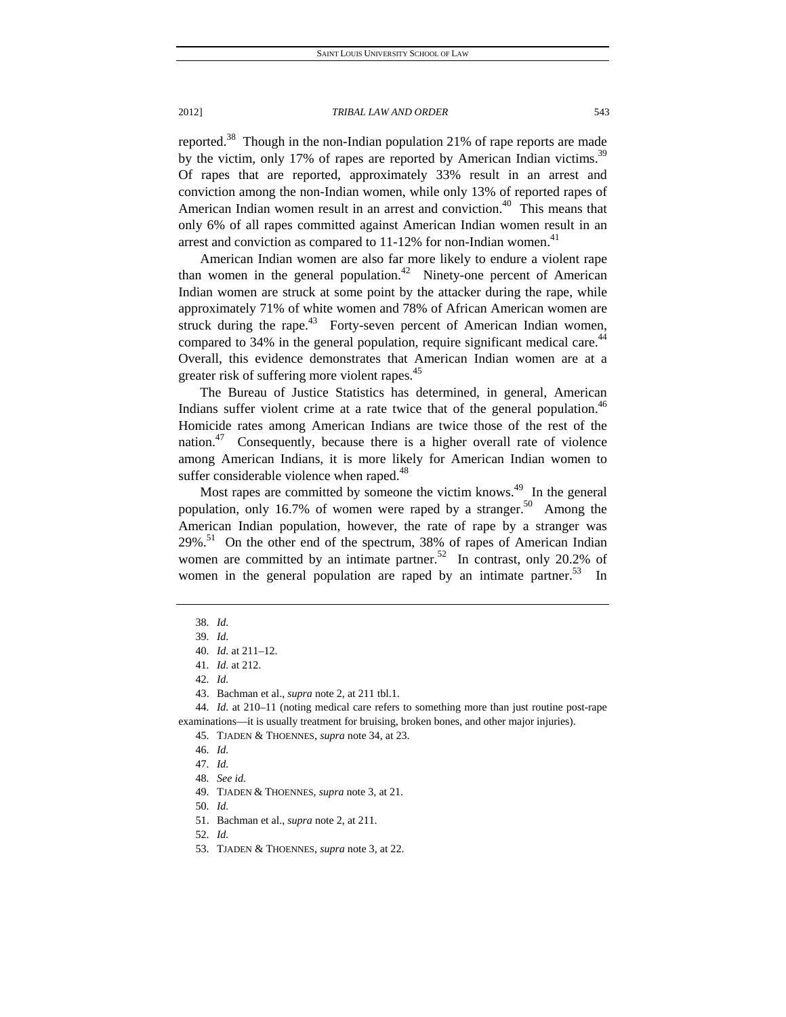reported.<sup>38</sup> Though in the non-Indian population 21% of rape reports are made by the victim, only 17% of rapes are reported by American Indian victims.<sup>39</sup> Of rapes that are reported, approximately 33% result in an arrest and conviction among the non-Indian women, while only 13% of reported rapes of American Indian women result in an arrest and conviction.<sup>40</sup> This means that only 6% of all rapes committed against American Indian women result in an arrest and conviction as compared to  $11-12\%$  for non-Indian women.<sup>41</sup>

American Indian women are also far more likely to endure a violent rape than women in the general population.<sup>42</sup> Ninety-one percent of American Indian women are struck at some point by the attacker during the rape, while approximately 71% of white women and 78% of African American women are struck during the rape.<sup>43</sup> Forty-seven percent of American Indian women, compared to 34% in the general population, require significant medical care.<sup>44</sup> Overall, this evidence demonstrates that American Indian women are at a greater risk of suffering more violent rapes.<sup>45</sup>

The Bureau of Justice Statistics has determined, in general, American Indians suffer violent crime at a rate twice that of the general population.<sup>46</sup> Homicide rates among American Indians are twice those of the rest of the nation.<sup>47</sup> Consequently, because there is a higher overall rate of violence among American Indians, it is more likely for American Indian women to suffer considerable violence when raped.<sup>48</sup>

Most rapes are committed by someone the victim knows.<sup>49</sup> In the general population, only 16.7% of women were raped by a stranger.<sup>50</sup> Among the American Indian population, however, the rate of rape by a stranger was  $29\%$ <sup>51</sup> On the other end of the spectrum, 38% of rapes of American Indian women are committed by an intimate partner.<sup>52</sup> In contrast, only 20.2% of women in the general population are raped by an intimate partner.<sup>53</sup> In

44*. Id.* at 210–11 (noting medical care refers to something more than just routine post-rape examinations—it is usually treatment for bruising, broken bones, and other major injuries).

53. TJADEN & THOENNES, *supra* note 3, at 22.

<sup>38</sup>*. Id.*

<sup>39</sup>*. Id.*

<sup>40</sup>*. Id.* at 211–12.

<sup>41</sup>*. Id.* at 212.

<sup>42</sup>*. Id.*

 <sup>43.</sup> Bachman et al., *supra* note 2, at 211 tbl.1.

 <sup>45.</sup> TJADEN & THOENNES, *supra* note 34, at 23.

<sup>46</sup>*. Id.*

<sup>47</sup>*. Id.*

<sup>48</sup>*. See id.*

 <sup>49.</sup> TJADEN & THOENNES, *supra* note 3, at 21.

<sup>50</sup>*. Id.*

 <sup>51.</sup> Bachman et al., *supra* note 2, at 211.

<sup>52</sup>*. Id.*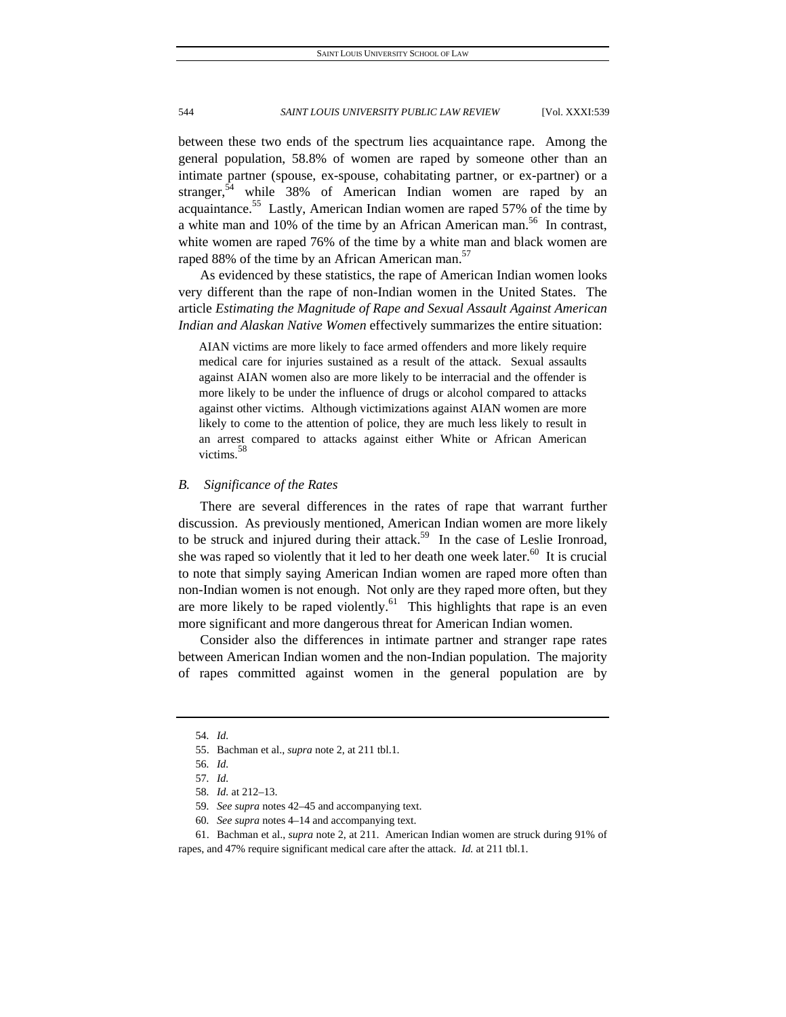between these two ends of the spectrum lies acquaintance rape. Among the general population, 58.8% of women are raped by someone other than an intimate partner (spouse, ex-spouse, cohabitating partner, or ex-partner) or a stranger,<sup>54</sup> while 38% of American Indian women are raped by an acquaintance.<sup>55</sup> Lastly, American Indian women are raped 57% of the time by a white man and 10% of the time by an African American man.<sup>56</sup> In contrast, white women are raped 76% of the time by a white man and black women are raped 88% of the time by an African American man.<sup>57</sup>

As evidenced by these statistics, the rape of American Indian women looks very different than the rape of non-Indian women in the United States. The article *Estimating the Magnitude of Rape and Sexual Assault Against American Indian and Alaskan Native Women* effectively summarizes the entire situation:

AIAN victims are more likely to face armed offenders and more likely require medical care for injuries sustained as a result of the attack. Sexual assaults against AIAN women also are more likely to be interracial and the offender is more likely to be under the influence of drugs or alcohol compared to attacks against other victims. Although victimizations against AIAN women are more likely to come to the attention of police, they are much less likely to result in an arrest compared to attacks against either White or African American victims.<sup>58</sup>

### *B. Significance of the Rates*

There are several differences in the rates of rape that warrant further discussion. As previously mentioned, American Indian women are more likely to be struck and injured during their attack.<sup>59</sup> In the case of Leslie Ironroad, she was raped so violently that it led to her death one week later.<sup>60</sup> It is crucial to note that simply saying American Indian women are raped more often than non-Indian women is not enough. Not only are they raped more often, but they are more likely to be raped violently. $61$  This highlights that rape is an even more significant and more dangerous threat for American Indian women.

Consider also the differences in intimate partner and stranger rape rates between American Indian women and the non-Indian population. The majority of rapes committed against women in the general population are by

<sup>54</sup>*. Id.*

 <sup>55.</sup> Bachman et al., *supra* note 2, at 211 tbl.1.

<sup>56</sup>*. Id.*

<sup>57</sup>*. Id.*

<sup>58</sup>*. Id.* at 212–13.

<sup>59</sup>*. See supra* notes 42–45 and accompanying text.

<sup>60</sup>*. See supra* notes 4–14 and accompanying text.

 <sup>61.</sup> Bachman et al., *supra* note 2, at 211. American Indian women are struck during 91% of rapes, and 47% require significant medical care after the attack. *Id.* at 211 tbl.1.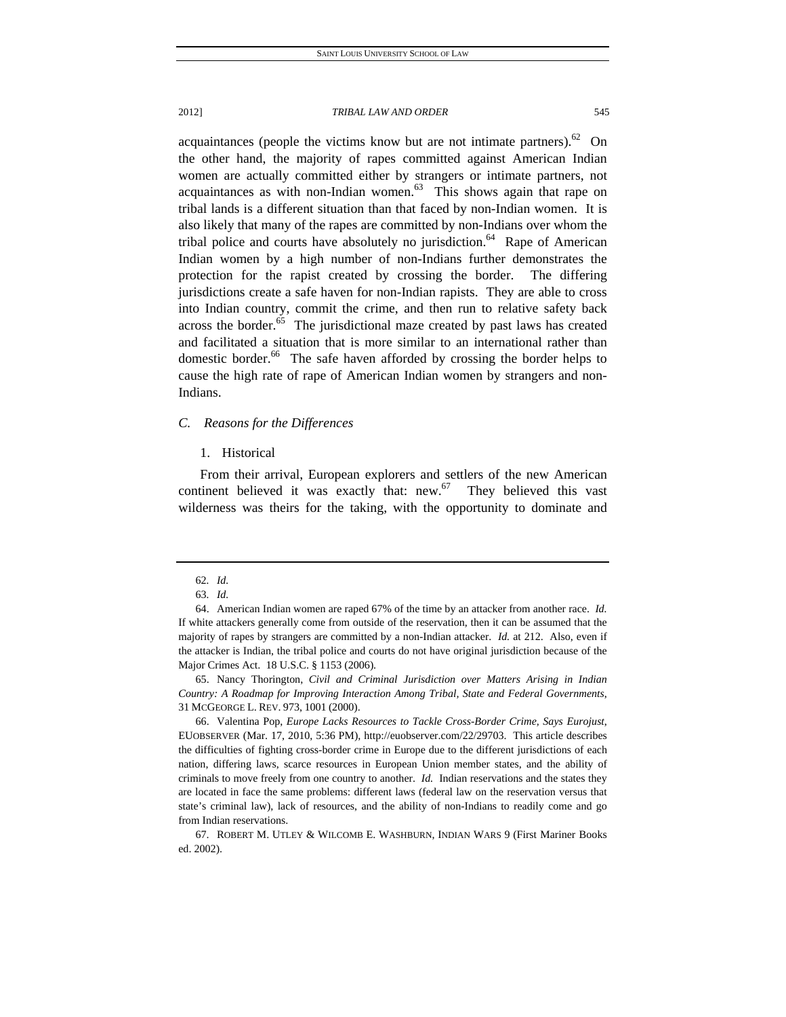acquaintances (people the victims know but are not intimate partners). $62$  On the other hand, the majority of rapes committed against American Indian women are actually committed either by strangers or intimate partners, not acquaintances as with non-Indian women. $63$  This shows again that rape on tribal lands is a different situation than that faced by non-Indian women. It is also likely that many of the rapes are committed by non-Indians over whom the tribal police and courts have absolutely no jurisdiction.<sup>64</sup> Rape of American Indian women by a high number of non-Indians further demonstrates the protection for the rapist created by crossing the border. The differing jurisdictions create a safe haven for non-Indian rapists. They are able to cross into Indian country, commit the crime, and then run to relative safety back across the border. $65$  The jurisdictional maze created by past laws has created and facilitated a situation that is more similar to an international rather than domestic border.<sup>66</sup> The safe haven afforded by crossing the border helps to cause the high rate of rape of American Indian women by strangers and non-Indians.

#### *C. Reasons for the Differences*

#### 1. Historical

From their arrival, European explorers and settlers of the new American continent believed it was exactly that: new. $67$  They believed this vast wilderness was theirs for the taking, with the opportunity to dominate and

 65. Nancy Thorington, *Civil and Criminal Jurisdiction over Matters Arising in Indian Country: A Roadmap for Improving Interaction Among Tribal, State and Federal Governments*, 31 MCGEORGE L. REV. 973, 1001 (2000).

<sup>62</sup>*. Id.*

<sup>63</sup>*. Id.*

 <sup>64.</sup> American Indian women are raped 67% of the time by an attacker from another race. *Id.* If white attackers generally come from outside of the reservation, then it can be assumed that the majority of rapes by strangers are committed by a non-Indian attacker. *Id.* at 212.Also, even if the attacker is Indian, the tribal police and courts do not have original jurisdiction because of the Major Crimes Act. 18 U.S.C. § 1153 (2006).

 <sup>66.</sup> Valentina Pop, *Europe Lacks Resources to Tackle Cross-Border Crime, Says Eurojust*, EUOBSERVER (Mar. 17, 2010, 5:36 PM), http://euobserver.com/22/29703. This article describes the difficulties of fighting cross-border crime in Europe due to the different jurisdictions of each nation, differing laws, scarce resources in European Union member states, and the ability of criminals to move freely from one country to another. *Id.* Indian reservations and the states they are located in face the same problems: different laws (federal law on the reservation versus that state's criminal law), lack of resources, and the ability of non-Indians to readily come and go from Indian reservations.

 <sup>67.</sup> ROBERT M. UTLEY & WILCOMB E. WASHBURN, INDIAN WARS 9 (First Mariner Books ed. 2002).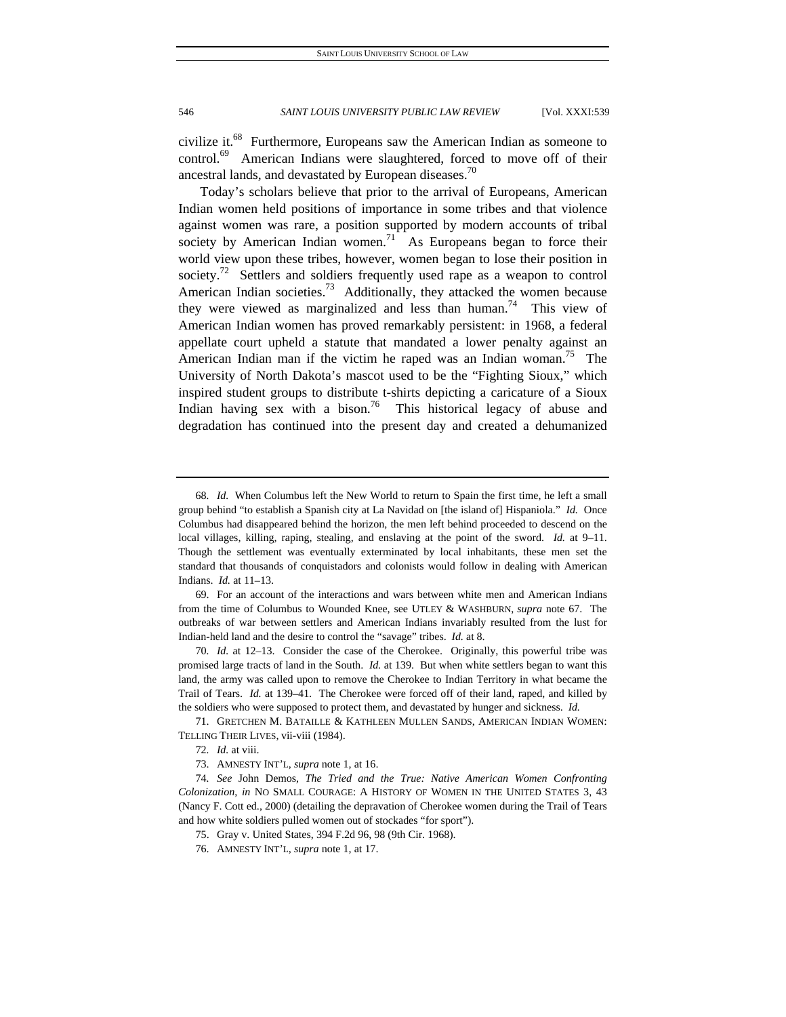civilize it.<sup>68</sup> Furthermore, Europeans saw the American Indian as someone to control.<sup>69</sup> American Indians were slaughtered, forced to move off of their ancestral lands, and devastated by European diseases.<sup>70</sup>

Today's scholars believe that prior to the arrival of Europeans, American Indian women held positions of importance in some tribes and that violence against women was rare, a position supported by modern accounts of tribal society by American Indian women.<sup>71</sup> As Europeans began to force their world view upon these tribes, however, women began to lose their position in society.<sup>72</sup> Settlers and soldiers frequently used rape as a weapon to control American Indian societies.<sup>73</sup> Additionally, they attacked the women because they were viewed as marginalized and less than human.<sup>74</sup> This view of American Indian women has proved remarkably persistent: in 1968, a federal appellate court upheld a statute that mandated a lower penalty against an American Indian man if the victim he raped was an Indian woman.<sup>75</sup> The University of North Dakota's mascot used to be the "Fighting Sioux," which inspired student groups to distribute t-shirts depicting a caricature of a Sioux Indian having sex with a bison.<sup>76</sup> This historical legacy of abuse and degradation has continued into the present day and created a dehumanized

 69. For an account of the interactions and wars between white men and American Indians from the time of Columbus to Wounded Knee, see UTLEY & WASHBURN, *supra* note 67. The outbreaks of war between settlers and American Indians invariably resulted from the lust for Indian-held land and the desire to control the "savage" tribes. *Id.* at 8.

70*. Id.* at 12–13. Consider the case of the Cherokee. Originally, this powerful tribe was promised large tracts of land in the South. *Id.* at 139. But when white settlers began to want this land, the army was called upon to remove the Cherokee to Indian Territory in what became the Trail of Tears. *Id.* at 139–41. The Cherokee were forced off of their land, raped, and killed by the soldiers who were supposed to protect them, and devastated by hunger and sickness. *Id.*

 71. GRETCHEN M. BATAILLE & KATHLEEN MULLEN SANDS, AMERICAN INDIAN WOMEN: TELLING THEIR LIVES, vii-viii (1984).

<sup>68</sup>*. Id.* When Columbus left the New World to return to Spain the first time, he left a small group behind "to establish a Spanish city at La Navidad on [the island of] Hispaniola." *Id.* Once Columbus had disappeared behind the horizon, the men left behind proceeded to descend on the local villages, killing, raping, stealing, and enslaving at the point of the sword. *Id.* at 9–11. Though the settlement was eventually exterminated by local inhabitants, these men set the standard that thousands of conquistadors and colonists would follow in dealing with American Indians. *Id.* at 11–13.

<sup>72</sup>*. Id.* at viii.

 <sup>73.</sup> AMNESTY INT'L, *supra* note 1, at 16.

<sup>74</sup>*. See* John Demos, *The Tried and the True: Native American Women Confronting Colonization*, *in* NO SMALL COURAGE: A HISTORY OF WOMEN IN THE UNITED STATES 3, 43 (Nancy F. Cott ed., 2000) (detailing the depravation of Cherokee women during the Trail of Tears and how white soldiers pulled women out of stockades "for sport").

 <sup>75.</sup> Gray v. United States, 394 F.2d 96, 98 (9th Cir. 1968).

 <sup>76.</sup> AMNESTY INT'L, *supra* note 1, at 17.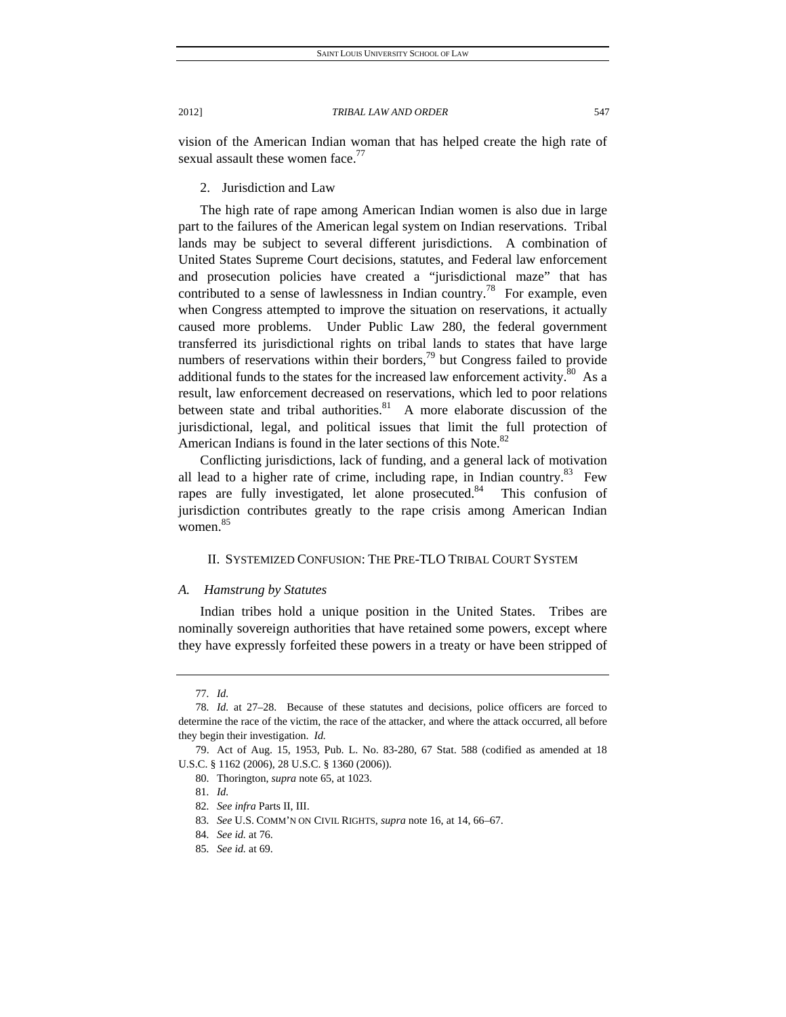vision of the American Indian woman that has helped create the high rate of sexual assault these women face. $\frac{7}{7}$ 

2. Jurisdiction and Law

The high rate of rape among American Indian women is also due in large part to the failures of the American legal system on Indian reservations. Tribal lands may be subject to several different jurisdictions. A combination of United States Supreme Court decisions, statutes, and Federal law enforcement and prosecution policies have created a "jurisdictional maze" that has contributed to a sense of lawlessness in Indian country.<sup>78</sup> For example, even when Congress attempted to improve the situation on reservations, it actually caused more problems. Under Public Law 280, the federal government transferred its jurisdictional rights on tribal lands to states that have large numbers of reservations within their borders, $^{79}$  but Congress failed to provide additional funds to the states for the increased law enforcement activity. $80$  As a result, law enforcement decreased on reservations, which led to poor relations between state and tribal authorities. $81$  A more elaborate discussion of the jurisdictional, legal, and political issues that limit the full protection of American Indians is found in the later sections of this Note. $82$ 

Conflicting jurisdictions, lack of funding, and a general lack of motivation all lead to a higher rate of crime, including rape, in Indian country.<sup>83</sup> Few rapes are fully investigated, let alone prosecuted.<sup>84</sup> This confusion of jurisdiction contributes greatly to the rape crisis among American Indian women. 85

## II. SYSTEMIZED CONFUSION: THE PRE-TLO TRIBAL COURT SYSTEM

## *A. Hamstrung by Statutes*

Indian tribes hold a unique position in the United States. Tribes are nominally sovereign authorities that have retained some powers, except where they have expressly forfeited these powers in a treaty or have been stripped of

<sup>77</sup>*. Id.*

<sup>78</sup>*. Id.* at 27–28. Because of these statutes and decisions, police officers are forced to determine the race of the victim, the race of the attacker, and where the attack occurred, all before they begin their investigation. *Id.*

 <sup>79.</sup> Act of Aug. 15, 1953, Pub. L. No. 83-280, 67 Stat. 588 (codified as amended at 18 U.S.C. § 1162 (2006), 28 U.S.C. § 1360 (2006)).

 <sup>80.</sup> Thorington, *supra* note 65, at 1023.

<sup>81</sup>*. Id.*

<sup>82</sup>*. See infra* Parts II, III.

<sup>83</sup>*. See* U.S. COMM'N ON CIVIL RIGHTS, *supra* note 16, at 14, 66–67.

<sup>84</sup>*. See id.* at 76.

<sup>85</sup>*. See id.* at 69.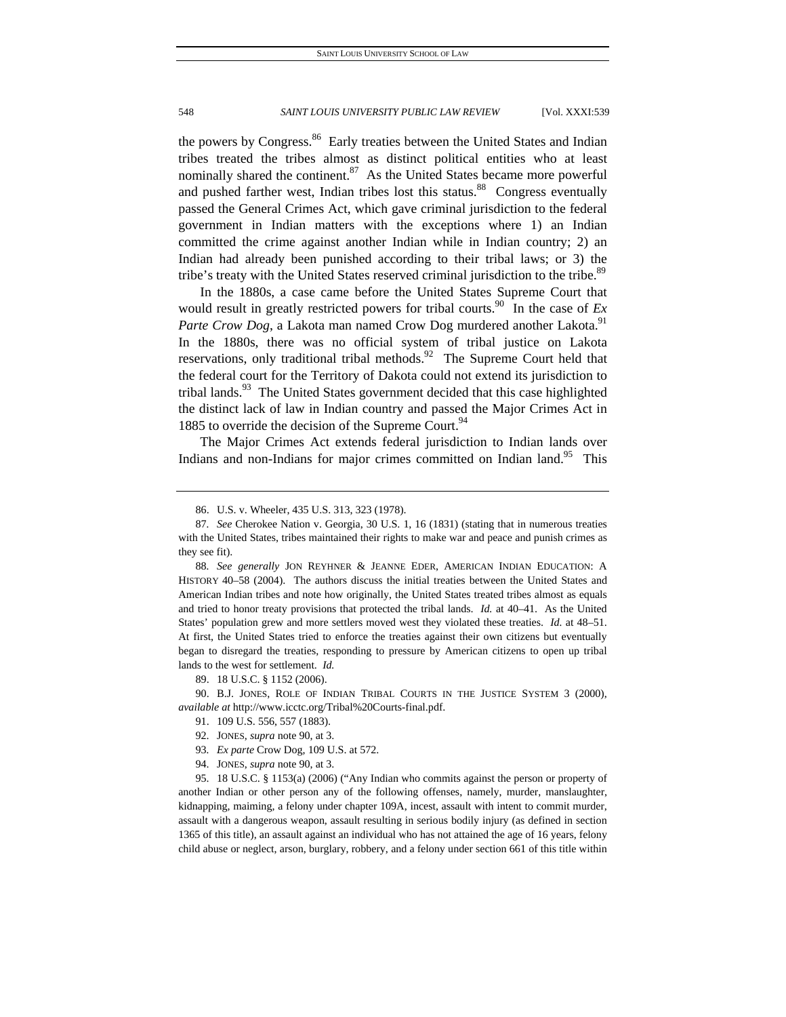the powers by Congress.<sup>86</sup> Early treaties between the United States and Indian tribes treated the tribes almost as distinct political entities who at least nominally shared the continent. $87$  As the United States became more powerful and pushed farther west, Indian tribes lost this status.<sup>88</sup> Congress eventually passed the General Crimes Act, which gave criminal jurisdiction to the federal government in Indian matters with the exceptions where 1) an Indian committed the crime against another Indian while in Indian country; 2) an Indian had already been punished according to their tribal laws; or 3) the tribe's treaty with the United States reserved criminal jurisdiction to the tribe.<sup>89</sup>

In the 1880s, a case came before the United States Supreme Court that would result in greatly restricted powers for tribal courts.<sup>90</sup> In the case of  $Ex$ Parte Crow Dog, a Lakota man named Crow Dog murdered another Lakota.<sup>91</sup> In the 1880s, there was no official system of tribal justice on Lakota reservations, only traditional tribal methods.<sup>92</sup> The Supreme Court held that the federal court for the Territory of Dakota could not extend its jurisdiction to tribal lands.<sup>93</sup> The United States government decided that this case highlighted the distinct lack of law in Indian country and passed the Major Crimes Act in 1885 to override the decision of the Supreme Court.<sup>94</sup>

The Major Crimes Act extends federal jurisdiction to Indian lands over Indians and non-Indians for major crimes committed on Indian land.<sup>95</sup> This

 90. B.J. JONES, ROLE OF INDIAN TRIBAL COURTS IN THE JUSTICE SYSTEM 3 (2000), *available at* http://www.icctc.org/Tribal%20Courts-final.pdf.

- 92. JONES, *supra* note 90, at 3.
- 93*. Ex parte* Crow Dog, 109 U.S. at 572.
- 94. JONES, *supra* note 90, at 3.

 <sup>86.</sup> U.S. v. Wheeler, 435 U.S. 313, 323 (1978).

<sup>87</sup>*. See* Cherokee Nation v. Georgia, 30 U.S. 1, 16 (1831) (stating that in numerous treaties with the United States, tribes maintained their rights to make war and peace and punish crimes as they see fit).

<sup>88</sup>*. See generally* JON REYHNER & JEANNE EDER, AMERICAN INDIAN EDUCATION: A HISTORY 40–58 (2004). The authors discuss the initial treaties between the United States and American Indian tribes and note how originally, the United States treated tribes almost as equals and tried to honor treaty provisions that protected the tribal lands. *Id.* at 40–41. As the United States' population grew and more settlers moved west they violated these treaties. *Id.* at 48–51. At first, the United States tried to enforce the treaties against their own citizens but eventually began to disregard the treaties, responding to pressure by American citizens to open up tribal lands to the west for settlement. *Id.* 

 <sup>89. 18</sup> U.S.C. § 1152 (2006).

 <sup>91. 109</sup> U.S. 556, 557 (1883).

 <sup>95. 18</sup> U.S.C. § 1153(a) (2006) ("Any Indian who commits against the person or property of another Indian or other person any of the following offenses, namely, murder, manslaughter, kidnapping, maiming, a felony under chapter 109A, incest, assault with intent to commit murder, assault with a dangerous weapon, assault resulting in serious bodily injury (as defined in section 1365 of this title), an assault against an individual who has not attained the age of 16 years, felony child abuse or neglect, arson, burglary, robbery, and a felony under section 661 of this title within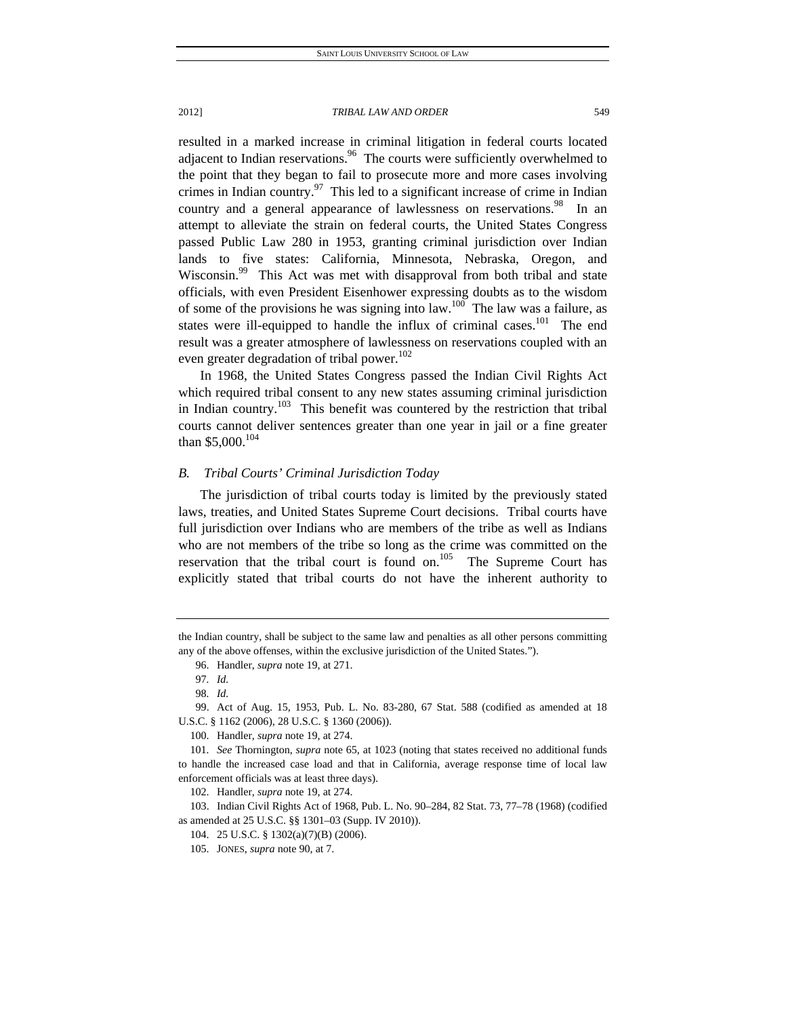resulted in a marked increase in criminal litigation in federal courts located adiacent to Indian reservations. $96$  The courts were sufficiently overwhelmed to the point that they began to fail to prosecute more and more cases involving crimes in Indian country.<sup>97</sup> This led to a significant increase of crime in Indian country and a general appearance of lawlessness on reservations.<sup>98</sup> In an attempt to alleviate the strain on federal courts, the United States Congress passed Public Law 280 in 1953, granting criminal jurisdiction over Indian lands to five states: California, Minnesota, Nebraska, Oregon, and Wisconsin.<sup>99</sup> This Act was met with disapproval from both tribal and state officials, with even President Eisenhower expressing doubts as to the wisdom of some of the provisions he was signing into law.<sup>100</sup> The law was a failure, as states were ill-equipped to handle the influx of criminal cases.<sup>101</sup> The end result was a greater atmosphere of lawlessness on reservations coupled with an even greater degradation of tribal power.<sup>102</sup>

In 1968, the United States Congress passed the Indian Civil Rights Act which required tribal consent to any new states assuming criminal jurisdiction in Indian country.<sup>103</sup> This benefit was countered by the restriction that tribal courts cannot deliver sentences greater than one year in jail or a fine greater than \$5,000.<sup>104</sup>

### *B. Tribal Courts' Criminal Jurisdiction Today*

The jurisdiction of tribal courts today is limited by the previously stated laws, treaties, and United States Supreme Court decisions. Tribal courts have full jurisdiction over Indians who are members of the tribe as well as Indians who are not members of the tribe so long as the crime was committed on the reservation that the tribal court is found on.<sup>105</sup> The Supreme Court has explicitly stated that tribal courts do not have the inherent authority to

the Indian country, shall be subject to the same law and penalties as all other persons committing any of the above offenses, within the exclusive jurisdiction of the United States.").

 <sup>96.</sup> Handler, *supra* note 19, at 271.

<sup>97</sup>*. Id.*

<sup>98</sup>*. Id.*

 <sup>99.</sup> Act of Aug. 15, 1953, Pub. L. No. 83-280, 67 Stat. 588 (codified as amended at 18 U.S.C. § 1162 (2006), 28 U.S.C. § 1360 (2006)).

 <sup>100.</sup> Handler, *supra* note 19, at 274.

<sup>101</sup>*. See* Thornington, *supra* note 65, at 1023 (noting that states received no additional funds to handle the increased case load and that in California, average response time of local law enforcement officials was at least three days).

 <sup>102.</sup> Handler, *supra* note 19, at 274.

 <sup>103.</sup> Indian Civil Rights Act of 1968, Pub. L. No. 90–284, 82 Stat. 73, 77–78 (1968) (codified as amended at 25 U.S.C. §§ 1301–03 (Supp. IV 2010)).

 <sup>104. 25</sup> U.S.C. § 1302(a)(7)(B) (2006).

 <sup>105.</sup> JONES, *supra* note 90, at 7.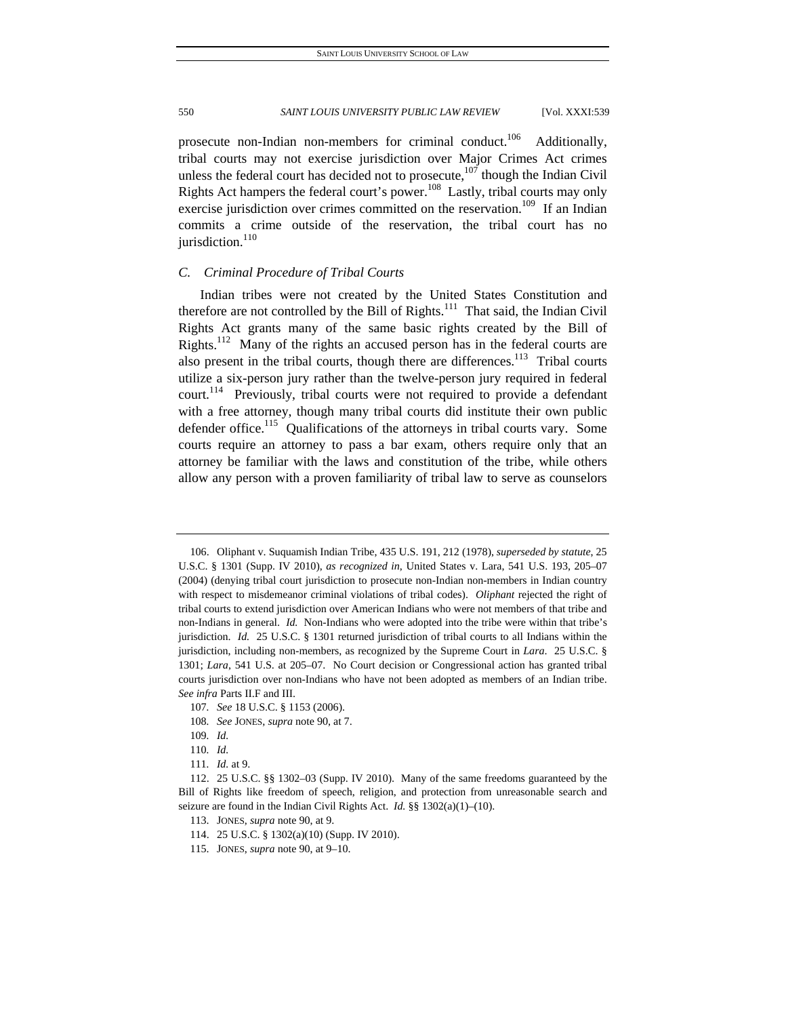prosecute non-Indian non-members for criminal conduct.<sup>106</sup> Additionally, tribal courts may not exercise jurisdiction over Major Crimes Act crimes unless the federal court has decided not to prosecute, $107$  though the Indian Civil Rights Act hampers the federal court's power.<sup>108</sup> Lastly, tribal courts may only exercise jurisdiction over crimes committed on the reservation.<sup>109</sup> If an Indian commits a crime outside of the reservation, the tribal court has no jurisdiction. $110$ 

### *C. Criminal Procedure of Tribal Courts*

Indian tribes were not created by the United States Constitution and therefore are not controlled by the Bill of Rights.<sup>111</sup> That said, the Indian Civil Rights Act grants many of the same basic rights created by the Bill of Rights.<sup>112</sup> Many of the rights an accused person has in the federal courts are also present in the tribal courts, though there are differences.<sup>113</sup> Tribal courts utilize a six-person jury rather than the twelve-person jury required in federal court.<sup>114</sup> Previously, tribal courts were not required to provide a defendant with a free attorney, though many tribal courts did institute their own public defender office.<sup>115</sup> Qualifications of the attorneys in tribal courts vary. Some courts require an attorney to pass a bar exam, others require only that an attorney be familiar with the laws and constitution of the tribe, while others allow any person with a proven familiarity of tribal law to serve as counselors

 <sup>106.</sup> Oliphant v. Suquamish Indian Tribe, 435 U.S. 191, 212 (1978), *superseded by statute*, 25 U.S.C. § 1301 (Supp. IV 2010), *as recognized in*, United States v. Lara, 541 U.S. 193, 205–07 (2004) (denying tribal court jurisdiction to prosecute non-Indian non-members in Indian country with respect to misdemeanor criminal violations of tribal codes). *Oliphant* rejected the right of tribal courts to extend jurisdiction over American Indians who were not members of that tribe and non-Indians in general. *Id.* Non-Indians who were adopted into the tribe were within that tribe's jurisdiction. *Id.* 25 U.S.C. § 1301 returned jurisdiction of tribal courts to all Indians within the jurisdiction, including non-members, as recognized by the Supreme Court in *Lara*. 25 U.S.C. § 1301; *Lara*, 541 U.S. at 205–07. No Court decision or Congressional action has granted tribal courts jurisdiction over non-Indians who have not been adopted as members of an Indian tribe. *See infra* Parts II.F and III.

<sup>107</sup>*. See* 18 U.S.C. § 1153 (2006).

<sup>108</sup>*. See* JONES, *supra* note 90, at 7.

<sup>109</sup>*. Id.*

<sup>110</sup>*. Id.*

<sup>111</sup>*. Id.* at 9.

 <sup>112. 25</sup> U.S.C. §§ 1302–03 (Supp. IV 2010). Many of the same freedoms guaranteed by the Bill of Rights like freedom of speech, religion, and protection from unreasonable search and seizure are found in the Indian Civil Rights Act. *Id.* §§ 1302(a)(1)–(10).

 <sup>113.</sup> JONES, *supra* note 90, at 9.

 <sup>114. 25</sup> U.S.C. § 1302(a)(10) (Supp. IV 2010).

 <sup>115.</sup> JONES, *supra* note 90, at 9–10.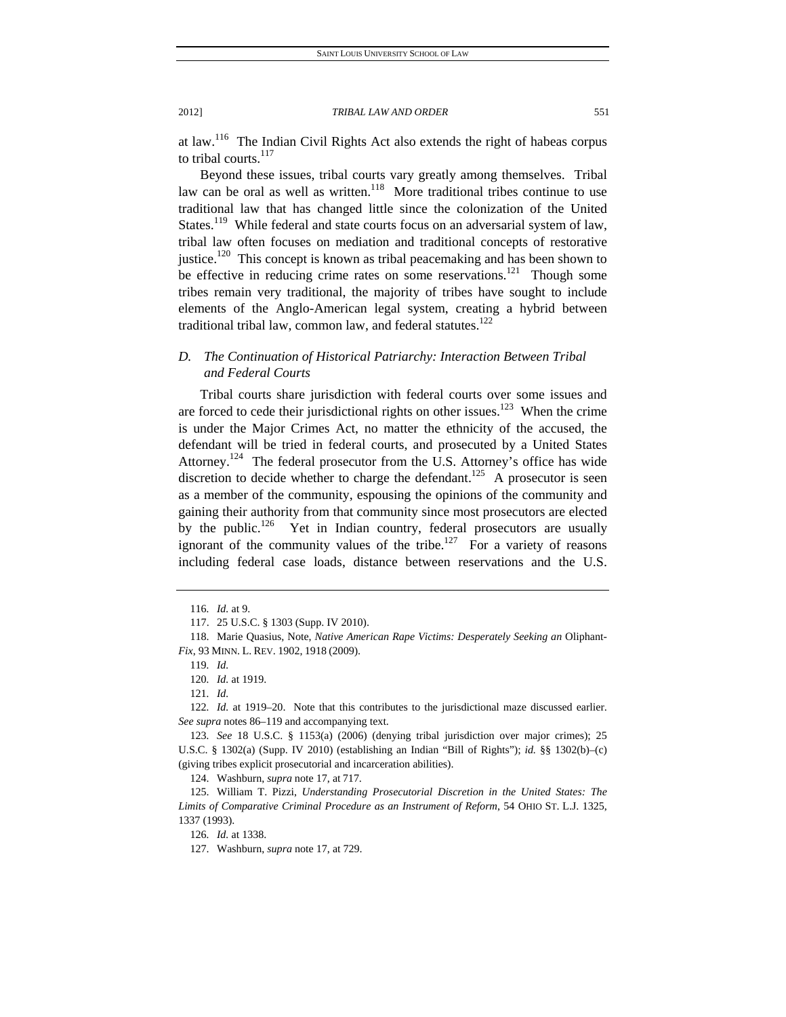at law.116 The Indian Civil Rights Act also extends the right of habeas corpus to tribal courts.<sup>117</sup>

Beyond these issues, tribal courts vary greatly among themselves. Tribal law can be oral as well as written.<sup>118</sup> More traditional tribes continue to use traditional law that has changed little since the colonization of the United States.<sup>119</sup> While federal and state courts focus on an adversarial system of law, tribal law often focuses on mediation and traditional concepts of restorative justice.<sup>120</sup> This concept is known as tribal peacemaking and has been shown to be effective in reducing crime rates on some reservations.<sup>121</sup> Though some tribes remain very traditional, the majority of tribes have sought to include elements of the Anglo-American legal system, creating a hybrid between traditional tribal law, common law, and federal statutes. $122$ 

# *D. The Continuation of Historical Patriarchy: Interaction Between Tribal and Federal Courts*

Tribal courts share jurisdiction with federal courts over some issues and are forced to cede their jurisdictional rights on other issues.<sup>123</sup> When the crime is under the Major Crimes Act, no matter the ethnicity of the accused, the defendant will be tried in federal courts, and prosecuted by a United States Attorney.<sup>124</sup> The federal prosecutor from the U.S. Attorney's office has wide discretion to decide whether to charge the defendant.<sup>125</sup> A prosecutor is seen as a member of the community, espousing the opinions of the community and gaining their authority from that community since most prosecutors are elected by the public.<sup>126</sup> Yet in Indian country, federal prosecutors are usually ignorant of the community values of the tribe.<sup>127</sup> For a variety of reasons including federal case loads, distance between reservations and the U.S.

126*. Id.* at 1338.

<sup>116</sup>*. Id.* at 9.

 <sup>117. 25</sup> U.S.C. § 1303 (Supp. IV 2010).

 <sup>118.</sup> Marie Quasius, Note, *Native American Rape Victims: Desperately Seeking an* Oliphant*-Fix*, 93 MINN. L. REV. 1902, 1918 (2009).

<sup>119</sup>*. Id.*

<sup>120</sup>*. Id.* at 1919.

<sup>121</sup>*. Id.*

<sup>122</sup>*. Id.* at 1919–20. Note that this contributes to the jurisdictional maze discussed earlier. *See supra* notes 86–119 and accompanying text.

<sup>123</sup>*. See* 18 U.S.C. § 1153(a) (2006) (denying tribal jurisdiction over major crimes); 25 U.S.C. § 1302(a) (Supp. IV 2010) (establishing an Indian "Bill of Rights"); *id.* §§ 1302(b)–(c) (giving tribes explicit prosecutorial and incarceration abilities).

 <sup>124.</sup> Washburn, *supra* note 17, at 717.

 <sup>125.</sup> William T. Pizzi, *Understanding Prosecutorial Discretion in the United States: The Limits of Comparative Criminal Procedure as an Instrument of Reform*, 54 OHIO ST. L.J. 1325, 1337 (1993).

 <sup>127.</sup> Washburn, *supra* note 17, at 729.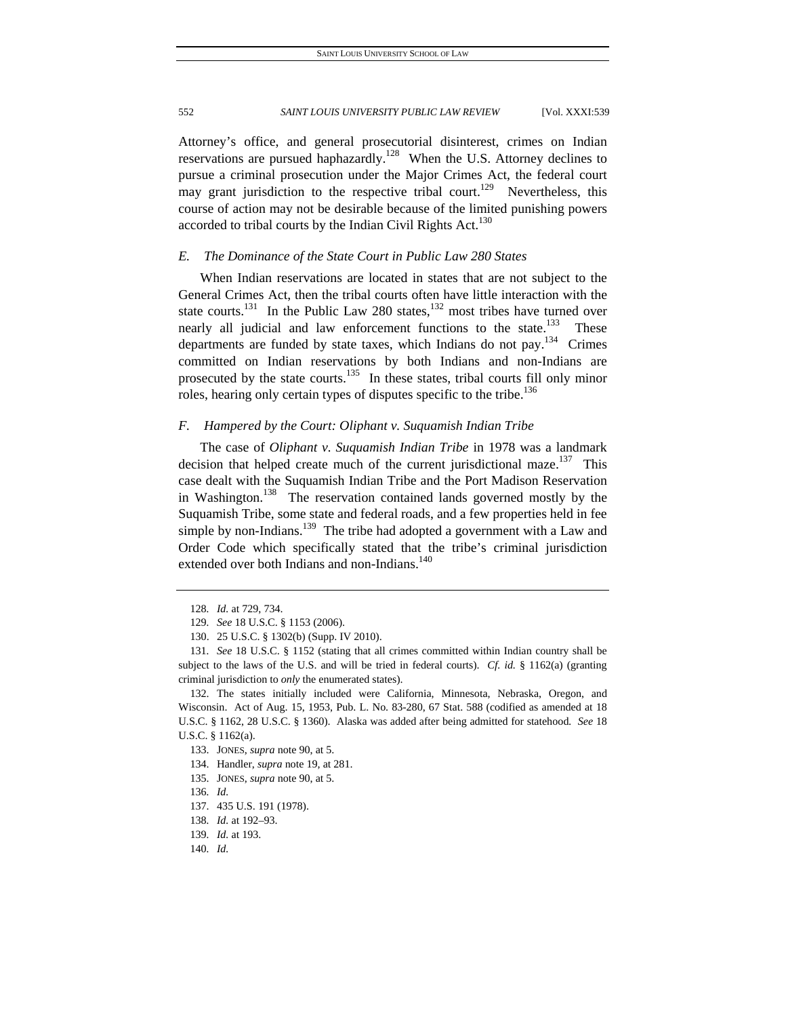Attorney's office, and general prosecutorial disinterest, crimes on Indian reservations are pursued haphazardly.<sup>128</sup> When the U.S. Attorney declines to pursue a criminal prosecution under the Major Crimes Act, the federal court may grant jurisdiction to the respective tribal court.<sup>129</sup> Nevertheless, this course of action may not be desirable because of the limited punishing powers accorded to tribal courts by the Indian Civil Rights Act.<sup>130</sup>

### *E. The Dominance of the State Court in Public Law 280 States*

When Indian reservations are located in states that are not subject to the General Crimes Act, then the tribal courts often have little interaction with the state courts.<sup>131</sup> In the Public Law 280 states,<sup>132</sup> most tribes have turned over nearly all judicial and law enforcement functions to the state.<sup>133</sup> These departments are funded by state taxes, which Indians do not pay.<sup>134</sup> Crimes committed on Indian reservations by both Indians and non-Indians are prosecuted by the state courts.<sup>135</sup> In these states, tribal courts fill only minor roles, hearing only certain types of disputes specific to the tribe.<sup>136</sup>

# *F. Hampered by the Court: Oliphant v. Suquamish Indian Tribe*

The case of *Oliphant v. Suquamish Indian Tribe* in 1978 was a landmark decision that helped create much of the current jurisdictional maze.<sup>137</sup> This case dealt with the Suquamish Indian Tribe and the Port Madison Reservation in Washington.<sup>138</sup> The reservation contained lands governed mostly by the Suquamish Tribe, some state and federal roads, and a few properties held in fee simple by non-Indians.<sup>139</sup> The tribe had adopted a government with a Law and Order Code which specifically stated that the tribe's criminal jurisdiction extended over both Indians and non-Indians.<sup>140</sup>

<sup>128</sup>*. Id.* at 729, 734.

<sup>129</sup>*. See* 18 U.S.C. § 1153 (2006).

 <sup>130. 25</sup> U.S.C. § 1302(b) (Supp. IV 2010).

<sup>131</sup>*. See* 18 U.S.C. § 1152 (stating that all crimes committed within Indian country shall be subject to the laws of the U.S. and will be tried in federal courts). *Cf. id.* § 1162(a) (granting criminal jurisdiction to *only* the enumerated states).

 <sup>132.</sup> The states initially included were California, Minnesota, Nebraska, Oregon, and Wisconsin. Act of Aug. 15, 1953, Pub. L. No. 83-280, 67 Stat. 588 (codified as amended at 18 U.S.C. § 1162, 28 U.S.C. § 1360). Alaska was added after being admitted for statehood*. See* 18 U.S.C. § 1162(a).

 <sup>133.</sup> JONES, *supra* note 90, at 5.

 <sup>134.</sup> Handler, *supra* note 19, at 281.

 <sup>135.</sup> JONES, *supra* note 90, at 5.

<sup>136</sup>*. Id.*

 <sup>137. 435</sup> U.S. 191 (1978).

<sup>138</sup>*. Id.* at 192–93.

<sup>139</sup>*. Id.* at 193.

<sup>140</sup>*. Id.*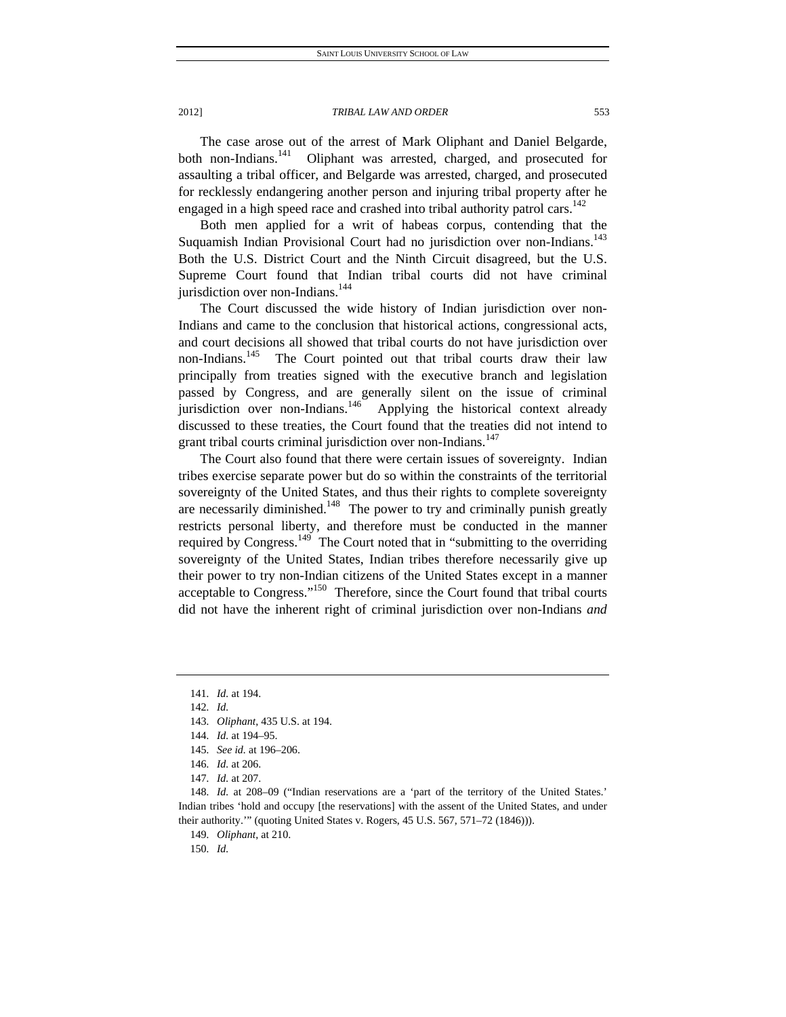The case arose out of the arrest of Mark Oliphant and Daniel Belgarde, both non-Indians.<sup>141</sup> Oliphant was arrested, charged, and prosecuted for assaulting a tribal officer, and Belgarde was arrested, charged, and prosecuted for recklessly endangering another person and injuring tribal property after he engaged in a high speed race and crashed into tribal authority patrol cars.<sup>142</sup>

Both men applied for a writ of habeas corpus, contending that the Suquamish Indian Provisional Court had no jurisdiction over non-Indians.<sup>143</sup> Both the U.S. District Court and the Ninth Circuit disagreed, but the U.S. Supreme Court found that Indian tribal courts did not have criminal jurisdiction over non-Indians.<sup>144</sup>

The Court discussed the wide history of Indian jurisdiction over non-Indians and came to the conclusion that historical actions, congressional acts, and court decisions all showed that tribal courts do not have jurisdiction over non-Indians.<sup>145</sup> The Court pointed out that tribal courts draw their law principally from treaties signed with the executive branch and legislation passed by Congress, and are generally silent on the issue of criminal jurisdiction over non-Indians.<sup>146</sup> Applying the historical context already discussed to these treaties, the Court found that the treaties did not intend to grant tribal courts criminal jurisdiction over non-Indians.<sup>147</sup>

The Court also found that there were certain issues of sovereignty. Indian tribes exercise separate power but do so within the constraints of the territorial sovereignty of the United States, and thus their rights to complete sovereignty are necessarily diminished.<sup>148</sup> The power to try and criminally punish greatly restricts personal liberty, and therefore must be conducted in the manner required by Congress.<sup>149</sup> The Court noted that in "submitting to the overriding sovereignty of the United States, Indian tribes therefore necessarily give up their power to try non-Indian citizens of the United States except in a manner acceptable to Congress."<sup>150</sup> Therefore, since the Court found that tribal courts did not have the inherent right of criminal jurisdiction over non-Indians *and*

<sup>141</sup>*. Id.* at 194.

<sup>142</sup>*. Id.*

<sup>143</sup>*. Oliphant*, 435 U.S. at 194.

<sup>144</sup>*. Id.* at 194–95.

<sup>145</sup>*. See id.* at 196–206.

<sup>146</sup>*. Id.* at 206.

<sup>147</sup>*. Id.* at 207.

<sup>148</sup>*. Id.* at 208–09 ("Indian reservations are a 'part of the territory of the United States.' Indian tribes 'hold and occupy [the reservations] with the assent of the United States, and under their authority."" (quoting United States v. Rogers, 45 U.S. 567, 571-72 (1846))).

<sup>149</sup>*. Oliphant*, at 210.

<sup>150</sup>*. Id.*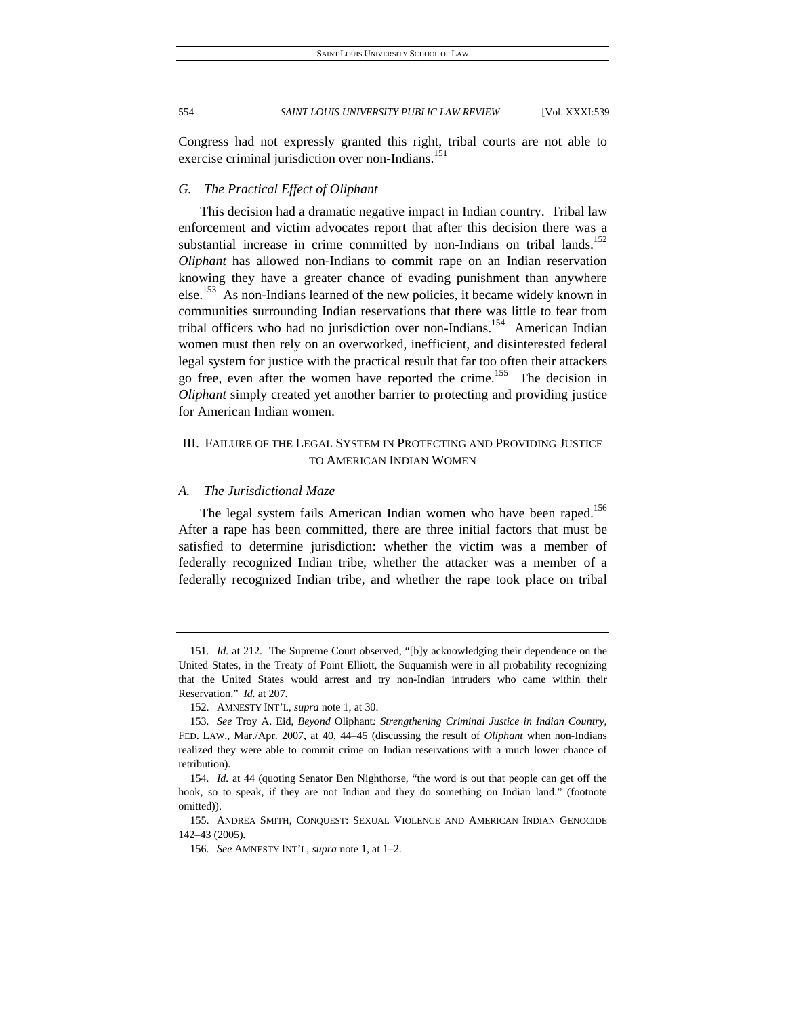Congress had not expressly granted this right, tribal courts are not able to exercise criminal jurisdiction over non-Indians.<sup>151</sup>

# *G. The Practical Effect of Oliphant*

This decision had a dramatic negative impact in Indian country. Tribal law enforcement and victim advocates report that after this decision there was a substantial increase in crime committed by non-Indians on tribal lands.<sup>152</sup> *Oliphant* has allowed non-Indians to commit rape on an Indian reservation knowing they have a greater chance of evading punishment than anywhere else.<sup>153</sup> As non-Indians learned of the new policies, it became widely known in communities surrounding Indian reservations that there was little to fear from tribal officers who had no jurisdiction over non-Indians.<sup>154</sup> American Indian women must then rely on an overworked, inefficient, and disinterested federal legal system for justice with the practical result that far too often their attackers go free, even after the women have reported the crime.<sup>155</sup> The decision in *Oliphant* simply created yet another barrier to protecting and providing justice for American Indian women.

# III. FAILURE OF THE LEGAL SYSTEM IN PROTECTING AND PROVIDING JUSTICE TO AMERICAN INDIAN WOMEN

# *A. The Jurisdictional Maze*

The legal system fails American Indian women who have been raped.<sup>156</sup> After a rape has been committed, there are three initial factors that must be satisfied to determine jurisdiction: whether the victim was a member of federally recognized Indian tribe, whether the attacker was a member of a federally recognized Indian tribe, and whether the rape took place on tribal

<sup>151</sup>*. Id.* at 212. The Supreme Court observed, "[b]y acknowledging their dependence on the United States, in the Treaty of Point Elliott, the Suquamish were in all probability recognizing that the United States would arrest and try non-Indian intruders who came within their Reservation." *Id.* at 207.

 <sup>152.</sup> AMNESTY INT'L, *supra* note 1, at 30.

<sup>153</sup>*. See* Troy A. Eid, *Beyond* Oliphant*: Strengthening Criminal Justice in Indian Country*, FED. LAW., Mar./Apr. 2007, at 40, 44–45 (discussing the result of *Oliphant* when non-Indians realized they were able to commit crime on Indian reservations with a much lower chance of retribution).

<sup>154</sup>*. Id.* at 44 (quoting Senator Ben Nighthorse, "the word is out that people can get off the hook, so to speak, if they are not Indian and they do something on Indian land." (footnote omitted)).

 <sup>155.</sup> ANDREA SMITH, CONQUEST: SEXUAL VIOLENCE AND AMERICAN INDIAN GENOCIDE 142–43 (2005).

<sup>156</sup>*. See* AMNESTY INT'L, *supra* note 1, at 1–2.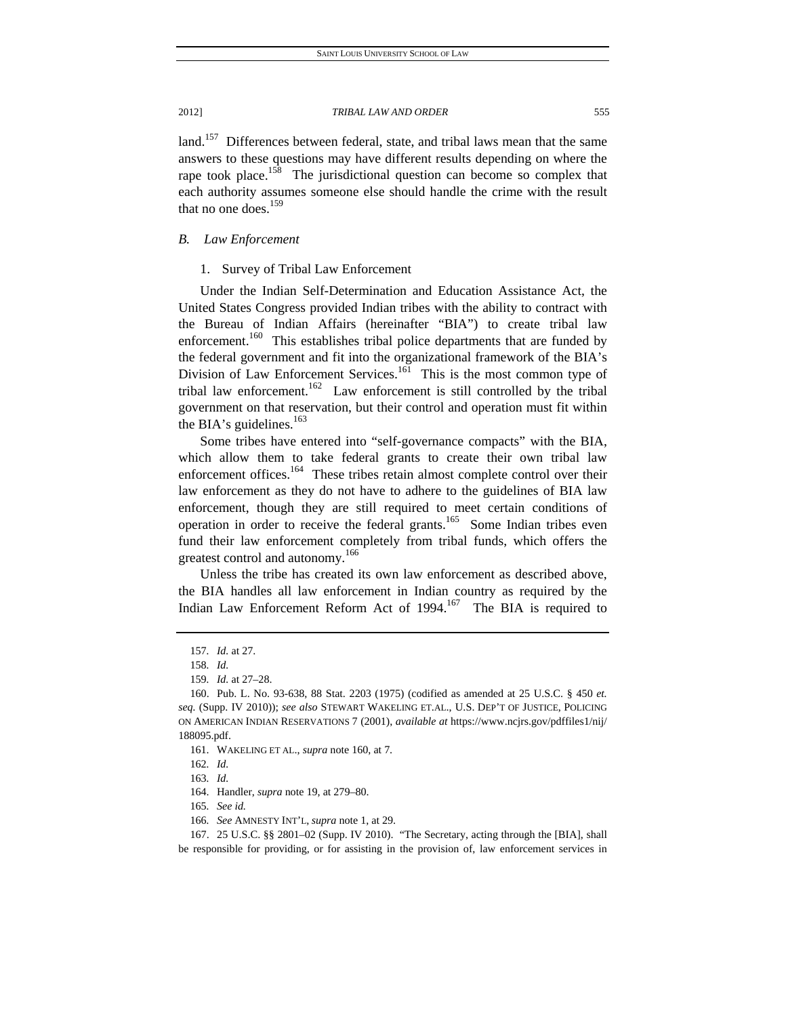land.<sup>157</sup> Differences between federal, state, and tribal laws mean that the same answers to these questions may have different results depending on where the rape took place.<sup>158</sup> The jurisdictional question can become so complex that each authority assumes someone else should handle the crime with the result that no one does.<sup>159</sup>

# *B. Law Enforcement*

## 1. Survey of Tribal Law Enforcement

Under the Indian Self-Determination and Education Assistance Act, the United States Congress provided Indian tribes with the ability to contract with the Bureau of Indian Affairs (hereinafter "BIA") to create tribal law enforcement.<sup>160</sup> This establishes tribal police departments that are funded by the federal government and fit into the organizational framework of the BIA's Division of Law Enforcement Services.<sup>161</sup> This is the most common type of tribal law enforcement.<sup>162</sup> Law enforcement is still controlled by the tribal government on that reservation, but their control and operation must fit within the BIA's guidelines. $163$ 

Some tribes have entered into "self-governance compacts" with the BIA, which allow them to take federal grants to create their own tribal law enforcement offices.<sup>164</sup> These tribes retain almost complete control over their law enforcement as they do not have to adhere to the guidelines of BIA law enforcement, though they are still required to meet certain conditions of operation in order to receive the federal grants.<sup>165</sup> Some Indian tribes even fund their law enforcement completely from tribal funds, which offers the greatest control and autonomy.<sup>166</sup>

Unless the tribe has created its own law enforcement as described above, the BIA handles all law enforcement in Indian country as required by the Indian Law Enforcement Reform Act of 1994.<sup>167</sup> The BIA is required to

<sup>157</sup>*. Id.* at 27.

<sup>158</sup>*. Id.*

<sup>159</sup>*. Id.* at 27–28.

 <sup>160.</sup> Pub. L. No. 93-638, 88 Stat. 2203 (1975) (codified as amended at 25 U.S.C. § 450 *et. seq.* (Supp. IV 2010)); *see also* STEWART WAKELING ET.AL., U.S. DEP'T OF JUSTICE, POLICING ON AMERICAN INDIAN RESERVATIONS 7 (2001), *available at* https://www.ncjrs.gov/pdffiles1/nij/ 188095.pdf.

 <sup>161.</sup> WAKELING ET AL., *supra* note 160, at 7.

<sup>162</sup>*. Id.*

<sup>163</sup>*. Id.*

 <sup>164.</sup> Handler, *supra* note 19, at 279–80.

<sup>165</sup>*. See id.*

<sup>166</sup>*. See* AMNESTY INT'L, *supra* note 1, at 29.

 <sup>167. 25</sup> U.S.C. §§ 2801–02 (Supp. IV 2010). "The Secretary, acting through the [BIA], shall be responsible for providing, or for assisting in the provision of, law enforcement services in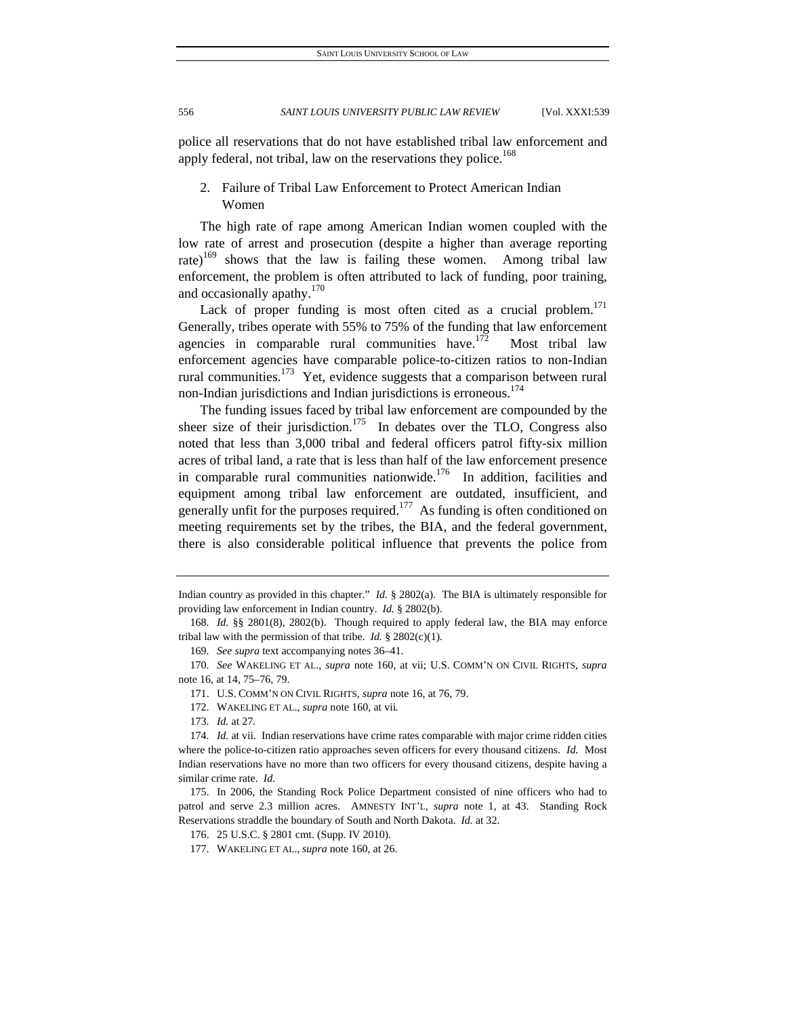police all reservations that do not have established tribal law enforcement and apply federal, not tribal, law on the reservations they police.<sup>168</sup>

# 2. Failure of Tribal Law Enforcement to Protect American Indian Women

The high rate of rape among American Indian women coupled with the low rate of arrest and prosecution (despite a higher than average reporting rate)<sup>169</sup> shows that the law is failing these women. Among tribal law enforcement, the problem is often attributed to lack of funding, poor training, and occasionally apathy. $170$ 

Lack of proper funding is most often cited as a crucial problem.<sup>171</sup> Generally, tribes operate with 55% to 75% of the funding that law enforcement agencies in comparable rural communities have.<sup> $1/2$ </sup> Most tribal law enforcement agencies have comparable police-to-citizen ratios to non-Indian rural communities.<sup>173</sup> Yet, evidence suggests that a comparison between rural non-Indian jurisdictions and Indian jurisdictions is erroneous.<sup>174</sup>

The funding issues faced by tribal law enforcement are compounded by the sheer size of their jurisdiction.<sup>175</sup> In debates over the TLO, Congress also noted that less than 3,000 tribal and federal officers patrol fifty-six million acres of tribal land, a rate that is less than half of the law enforcement presence in comparable rural communities nationwide.<sup>176</sup> In addition, facilities and equipment among tribal law enforcement are outdated, insufficient, and generally unfit for the purposes required.<sup>177</sup> As funding is often conditioned on meeting requirements set by the tribes, the BIA, and the federal government, there is also considerable political influence that prevents the police from

Indian country as provided in this chapter." *Id.* § 2802(a). The BIA is ultimately responsible for providing law enforcement in Indian country. *Id.* § 2802(b).

<sup>168</sup>*. Id.* §§ 2801(8), 2802(b). Though required to apply federal law, the BIA may enforce tribal law with the permission of that tribe. *Id.* § 2802(c)(1).

<sup>169</sup>*. See supra* text accompanying notes 36–41.

<sup>170</sup>*. See* WAKELING ET AL., *supra* note 160, at vii; U.S. COMM'N ON CIVIL RIGHTS, *supra* note 16, at 14, 75–76, 79.

 <sup>171.</sup> U.S. COMM'N ON CIVIL RIGHTS, *supra* note 16, at 76, 79.

 <sup>172.</sup> WAKELING ET AL., *supra* note 160, at vii*.*

<sup>173</sup>*. Id.* at 27*.* 

<sup>174</sup>*. Id.* at vii. Indian reservations have crime rates comparable with major crime ridden cities where the police-to-citizen ratio approaches seven officers for every thousand citizens. *Id.* Most Indian reservations have no more than two officers for every thousand citizens, despite having a similar crime rate. *Id.* 

 <sup>175.</sup> In 2006, the Standing Rock Police Department consisted of nine officers who had to patrol and serve 2.3 million acres. AMNESTY INT'L, *supra* note 1, at 43. Standing Rock Reservations straddle the boundary of South and North Dakota. *Id.* at 32.

 <sup>176. 25</sup> U.S.C. § 2801 cmt. (Supp. IV 2010).

 <sup>177.</sup> WAKELING ET AL., *supra* note 160, at 26.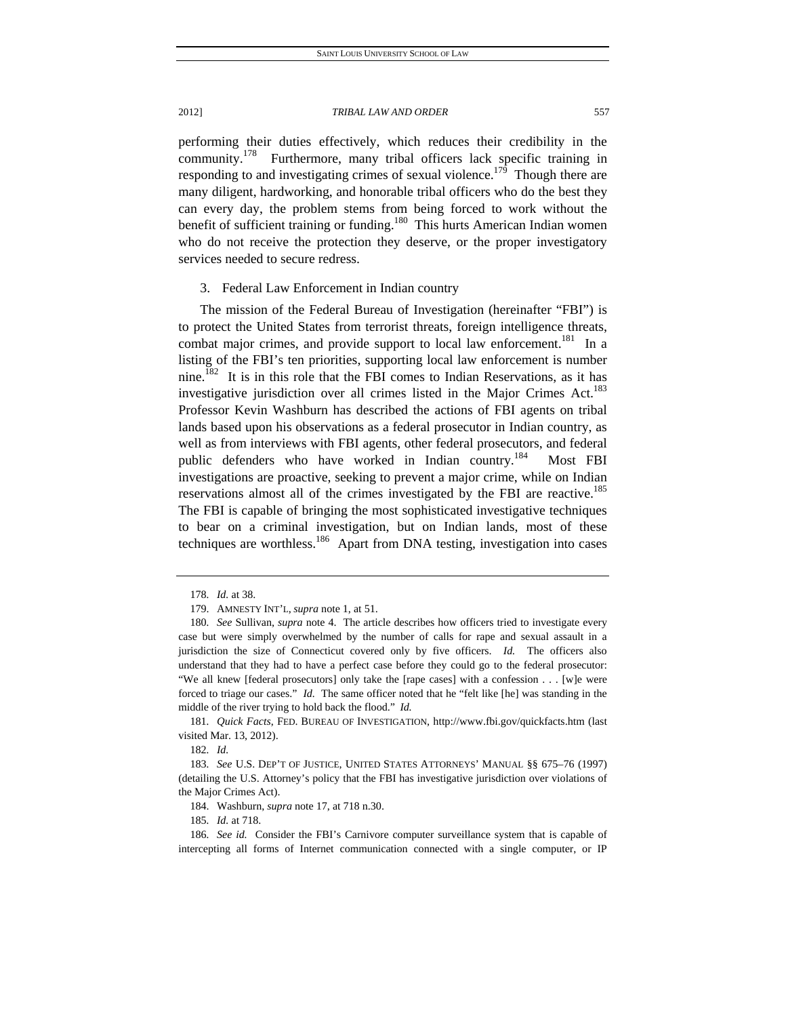performing their duties effectively, which reduces their credibility in the community.<sup>178</sup> Furthermore, many tribal officers lack specific training in responding to and investigating crimes of sexual violence.<sup>179</sup> Though there are many diligent, hardworking, and honorable tribal officers who do the best they can every day, the problem stems from being forced to work without the benefit of sufficient training or funding.<sup>180</sup> This hurts American Indian women who do not receive the protection they deserve, or the proper investigatory services needed to secure redress.

# 3. Federal Law Enforcement in Indian country

The mission of the Federal Bureau of Investigation (hereinafter "FBI") is to protect the United States from terrorist threats, foreign intelligence threats, combat major crimes, and provide support to local law enforcement.<sup>181</sup> In a listing of the FBI's ten priorities, supporting local law enforcement is number nine.182 It is in this role that the FBI comes to Indian Reservations, as it has investigative jurisdiction over all crimes listed in the Major Crimes Act.<sup>183</sup> Professor Kevin Washburn has described the actions of FBI agents on tribal lands based upon his observations as a federal prosecutor in Indian country, as well as from interviews with FBI agents, other federal prosecutors, and federal public defenders who have worked in Indian country.<sup>184</sup> Most FBI investigations are proactive, seeking to prevent a major crime, while on Indian reservations almost all of the crimes investigated by the FBI are reactive.<sup>185</sup> The FBI is capable of bringing the most sophisticated investigative techniques to bear on a criminal investigation, but on Indian lands, most of these techniques are worthless.<sup>186</sup> Apart from DNA testing, investigation into cases

181*. Quick Facts*, FED. BUREAU OF INVESTIGATION, http://www.fbi.gov/quickfacts.htm (last visited Mar. 13, 2012).

182*. Id.*

184. Washburn, *supra* note 17, at 718 n.30.

185*. Id.* at 718.

<sup>178</sup>*. Id.* at 38.

 <sup>179.</sup> AMNESTY INT'L, *supra* note 1, at 51.

<sup>180</sup>*. See* Sullivan, *supra* note 4. The article describes how officers tried to investigate every case but were simply overwhelmed by the number of calls for rape and sexual assault in a jurisdiction the size of Connecticut covered only by five officers. *Id.* The officers also understand that they had to have a perfect case before they could go to the federal prosecutor: "We all knew [federal prosecutors] only take the [rape cases] with a confession . . . [w]e were forced to triage our cases." *Id.* The same officer noted that he "felt like [he] was standing in the middle of the river trying to hold back the flood." *Id.* 

<sup>183</sup>*. See* U.S. DEP'T OF JUSTICE, UNITED STATES ATTORNEYS' MANUAL §§ 675–76 (1997) (detailing the U.S. Attorney's policy that the FBI has investigative jurisdiction over violations of the Major Crimes Act).

<sup>186</sup>*. See id.* Consider the FBI's Carnivore computer surveillance system that is capable of intercepting all forms of Internet communication connected with a single computer, or IP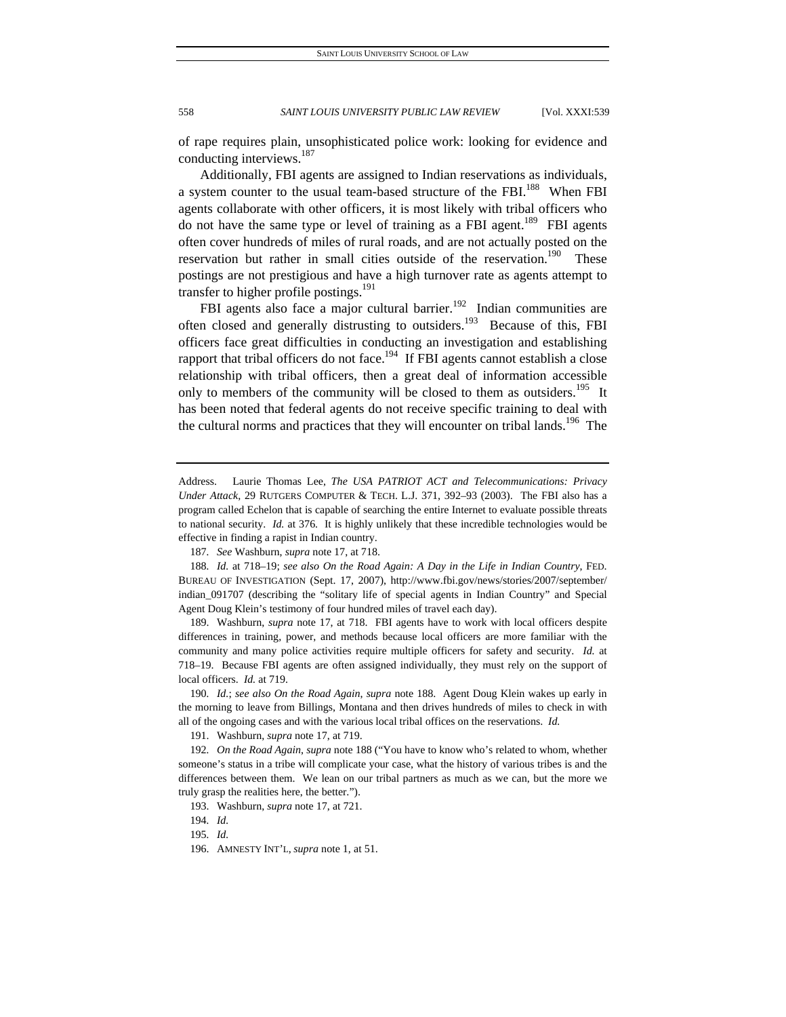of rape requires plain, unsophisticated police work: looking for evidence and conducting interviews.<sup>187</sup>

Additionally, FBI agents are assigned to Indian reservations as individuals, a system counter to the usual team-based structure of the FBI.<sup>188</sup> When FBI agents collaborate with other officers, it is most likely with tribal officers who do not have the same type or level of training as a FBI agent.<sup>189</sup> FBI agents often cover hundreds of miles of rural roads, and are not actually posted on the reservation but rather in small cities outside of the reservation.<sup>190</sup> These postings are not prestigious and have a high turnover rate as agents attempt to transfer to higher profile postings.<sup>191</sup>

FBI agents also face a major cultural barrier.<sup>192</sup> Indian communities are often closed and generally distrusting to outsiders.<sup>193</sup> Because of this, FBI officers face great difficulties in conducting an investigation and establishing rapport that tribal officers do not face.<sup>194</sup> If FBI agents cannot establish a close relationship with tribal officers, then a great deal of information accessible only to members of the community will be closed to them as outsiders.<sup>195</sup> It has been noted that federal agents do not receive specific training to deal with the cultural norms and practices that they will encounter on tribal lands.<sup>196</sup> The

 189. Washburn, *supra* note 17, at 718. FBI agents have to work with local officers despite differences in training, power, and methods because local officers are more familiar with the community and many police activities require multiple officers for safety and security. *Id.* at 718–19. Because FBI agents are often assigned individually, they must rely on the support of local officers. *Id.* at 719.

190*. Id.*; *see also On the Road Again*, *supra* note 188. Agent Doug Klein wakes up early in the morning to leave from Billings, Montana and then drives hundreds of miles to check in with all of the ongoing cases and with the various local tribal offices on the reservations. *Id.*

191. Washburn, *supra* note 17, at 719.

192*. On the Road Again*, *supra* note 188 ("You have to know who's related to whom, whether someone's status in a tribe will complicate your case, what the history of various tribes is and the differences between them. We lean on our tribal partners as much as we can, but the more we truly grasp the realities here, the better.").

195*. Id.*

Address. Laurie Thomas Lee, *The USA PATRIOT ACT and Telecommunications: Privacy Under Attack*, 29 RUTGERS COMPUTER & TECH. L.J. 371, 392–93 (2003). The FBI also has a program called Echelon that is capable of searching the entire Internet to evaluate possible threats to national security. *Id.* at 376. It is highly unlikely that these incredible technologies would be effective in finding a rapist in Indian country.

<sup>187</sup>*. See* Washburn, *supra* note 17, at 718.

<sup>188</sup>*. Id.* at 718–19; *see also On the Road Again: A Day in the Life in Indian Country*, FED. BUREAU OF INVESTIGATION (Sept. 17, 2007), http://www.fbi.gov/news/stories/2007/september/ indian\_091707 (describing the "solitary life of special agents in Indian Country" and Special Agent Doug Klein's testimony of four hundred miles of travel each day).

 <sup>193.</sup> Washburn, *supra* note 17, at 721.

<sup>194</sup>*. Id.*

 <sup>196.</sup> AMNESTY INT'L, *supra* note 1, at 51.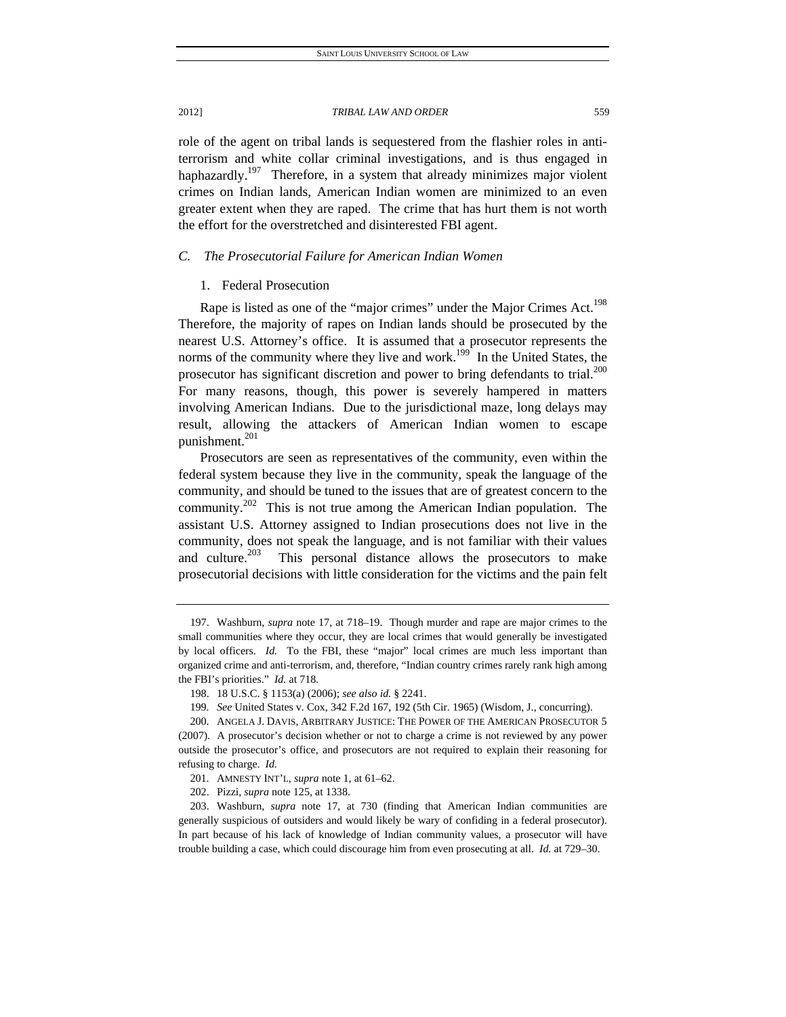role of the agent on tribal lands is sequestered from the flashier roles in antiterrorism and white collar criminal investigations, and is thus engaged in haphazardly.<sup>197</sup> Therefore, in a system that already minimizes major violent crimes on Indian lands, American Indian women are minimized to an even greater extent when they are raped. The crime that has hurt them is not worth the effort for the overstretched and disinterested FBI agent.

#### *C. The Prosecutorial Failure for American Indian Women*

## 1. Federal Prosecution

Rape is listed as one of the "major crimes" under the Major Crimes Act.<sup>198</sup> Therefore, the majority of rapes on Indian lands should be prosecuted by the nearest U.S. Attorney's office. It is assumed that a prosecutor represents the norms of the community where they live and work.<sup>199</sup> In the United States, the prosecutor has significant discretion and power to bring defendants to trial.<sup>200</sup> For many reasons, though, this power is severely hampered in matters involving American Indians. Due to the jurisdictional maze, long delays may result, allowing the attackers of American Indian women to escape punishment.<sup>201</sup>

Prosecutors are seen as representatives of the community, even within the federal system because they live in the community, speak the language of the community, and should be tuned to the issues that are of greatest concern to the community.<sup>202</sup> This is not true among the American Indian population. The assistant U.S. Attorney assigned to Indian prosecutions does not live in the community, does not speak the language, and is not familiar with their values and culture. $203$  This personal distance allows the prosecutors to make prosecutorial decisions with little consideration for the victims and the pain felt

 <sup>197.</sup> Washburn, *supra* note 17, at 718–19. Though murder and rape are major crimes to the small communities where they occur, they are local crimes that would generally be investigated by local officers. *Id.* To the FBI, these "major" local crimes are much less important than organized crime and anti-terrorism, and, therefore, "Indian country crimes rarely rank high among the FBI's priorities." *Id.* at 718.

 <sup>198. 18</sup> U.S.C. § 1153(a) (2006); *see also id.* § 2241.

<sup>199</sup>*. See* United States v. Cox, 342 F.2d 167, 192 (5th Cir. 1965) (Wisdom, J., concurring).

 <sup>200.</sup> ANGELA J. DAVIS, ARBITRARY JUSTICE: THE POWER OF THE AMERICAN PROSECUTOR 5 (2007). A prosecutor's decision whether or not to charge a crime is not reviewed by any power outside the prosecutor's office, and prosecutors are not required to explain their reasoning for refusing to charge. *Id.*

 <sup>201.</sup> AMNESTY INT'L, *supra* note 1, at 61–62.

 <sup>202.</sup> Pizzi, *supra* note 125, at 1338.

 <sup>203.</sup> Washburn, *supra* note 17, at 730 (finding that American Indian communities are generally suspicious of outsiders and would likely be wary of confiding in a federal prosecutor). In part because of his lack of knowledge of Indian community values, a prosecutor will have trouble building a case, which could discourage him from even prosecuting at all. *Id.* at 729–30.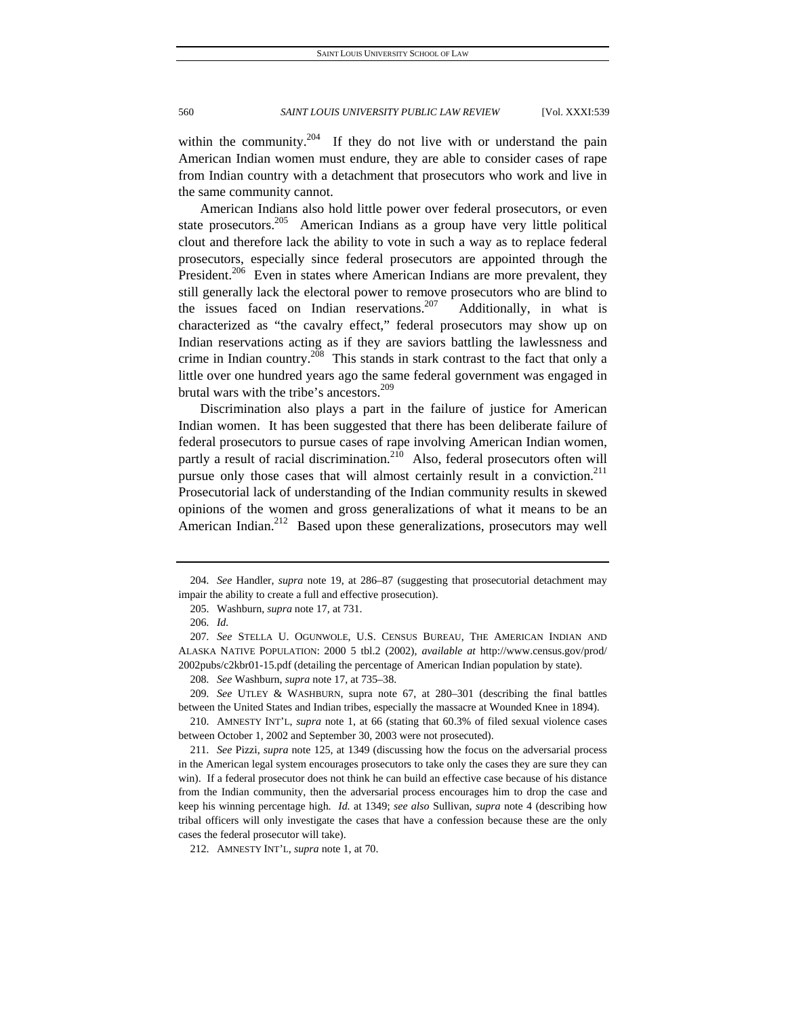within the community.<sup>204</sup> If they do not live with or understand the pain American Indian women must endure, they are able to consider cases of rape from Indian country with a detachment that prosecutors who work and live in the same community cannot.

American Indians also hold little power over federal prosecutors, or even state prosecutors.<sup>205</sup> American Indians as a group have very little political clout and therefore lack the ability to vote in such a way as to replace federal prosecutors, especially since federal prosecutors are appointed through the President.<sup>206</sup> Even in states where American Indians are more prevalent, they still generally lack the electoral power to remove prosecutors who are blind to the issues faced on Indian reservations.<sup>207</sup> Additionally, in what is characterized as "the cavalry effect," federal prosecutors may show up on Indian reservations acting as if they are saviors battling the lawlessness and crime in Indian country.<sup>208</sup> This stands in stark contrast to the fact that only a little over one hundred years ago the same federal government was engaged in brutal wars with the tribe's ancestors.<sup>209</sup>

Discrimination also plays a part in the failure of justice for American Indian women. It has been suggested that there has been deliberate failure of federal prosecutors to pursue cases of rape involving American Indian women, partly a result of racial discrimination.<sup>210</sup> Also, federal prosecutors often will pursue only those cases that will almost certainly result in a conviction.<sup>211</sup> Prosecutorial lack of understanding of the Indian community results in skewed opinions of the women and gross generalizations of what it means to be an American Indian.<sup>212</sup> Based upon these generalizations, prosecutors may well

<sup>204</sup>*. See* Handler, *supra* note 19, at 286–87 (suggesting that prosecutorial detachment may impair the ability to create a full and effective prosecution).

 <sup>205.</sup> Washburn, *supra* note 17, at 731.

<sup>206</sup>*. Id.*

<sup>207</sup>*. See* STELLA U. OGUNWOLE, U.S. CENSUS BUREAU, THE AMERICAN INDIAN AND ALASKA NATIVE POPULATION: 2000 5 tbl.2 (2002), *available at* http://www.census.gov/prod/ 2002pubs/c2kbr01-15.pdf (detailing the percentage of American Indian population by state).

<sup>208</sup>*. See* Washburn, *supra* note 17, at 735–38.

<sup>209</sup>*. See* UTLEY & WASHBURN, supra note 67, at 280–301 (describing the final battles between the United States and Indian tribes, especially the massacre at Wounded Knee in 1894).

 <sup>210.</sup> AMNESTY INT'L, *supra* note 1, at 66 (stating that 60.3% of filed sexual violence cases between October 1, 2002 and September 30, 2003 were not prosecuted).

<sup>211</sup>*. See* Pizzi, *supra* note 125, at 1349 (discussing how the focus on the adversarial process in the American legal system encourages prosecutors to take only the cases they are sure they can win). If a federal prosecutor does not think he can build an effective case because of his distance from the Indian community, then the adversarial process encourages him to drop the case and keep his winning percentage high. *Id.* at 1349; *see also* Sullivan, *supra* note 4 (describing how tribal officers will only investigate the cases that have a confession because these are the only cases the federal prosecutor will take).

 <sup>212.</sup> AMNESTY INT'L, *supra* note 1, at 70.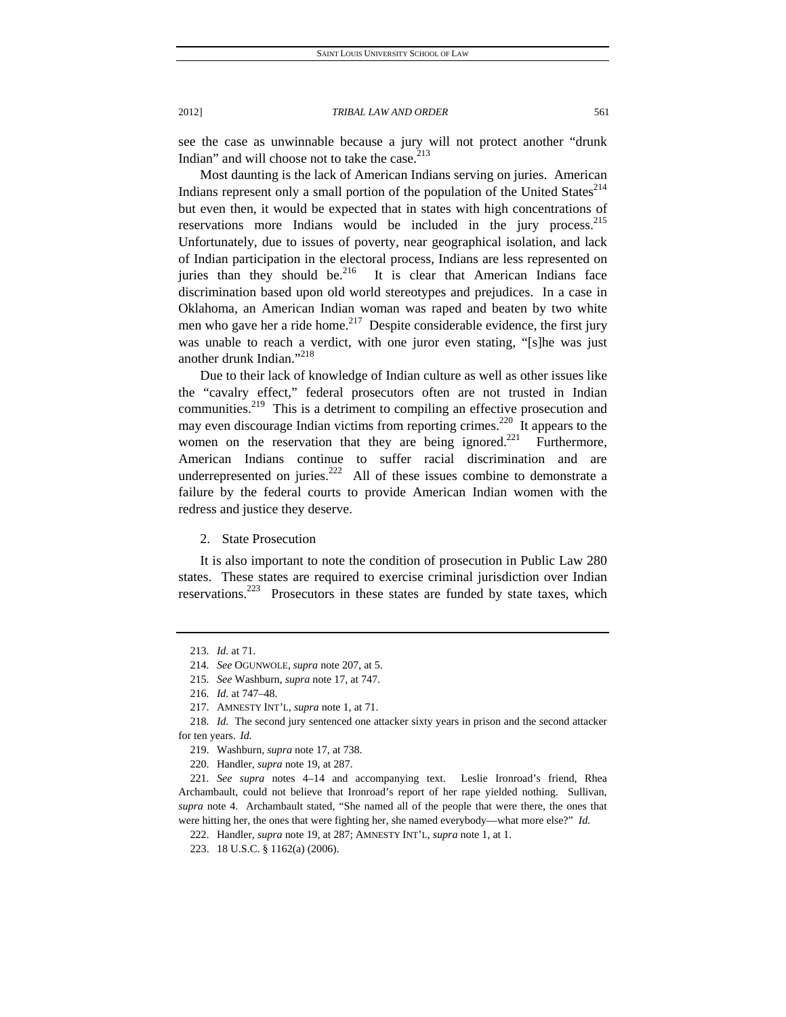see the case as unwinnable because a jury will not protect another "drunk Indian" and will choose not to take the case. $2^{13}$ 

Most daunting is the lack of American Indians serving on juries. American Indians represent only a small portion of the population of the United States $^{214}$ but even then, it would be expected that in states with high concentrations of reservations more Indians would be included in the jury process.<sup>215</sup> Unfortunately, due to issues of poverty, near geographical isolation, and lack of Indian participation in the electoral process, Indians are less represented on juries than they should be. $216$  It is clear that American Indians face discrimination based upon old world stereotypes and prejudices. In a case in Oklahoma, an American Indian woman was raped and beaten by two white men who gave her a ride home. $2^{17}$  Despite considerable evidence, the first jury was unable to reach a verdict, with one juror even stating, "[s]he was just another drunk Indian."<sup>218</sup>

Due to their lack of knowledge of Indian culture as well as other issues like the "cavalry effect," federal prosecutors often are not trusted in Indian communities.<sup>219</sup> This is a detriment to compiling an effective prosecution and may even discourage Indian victims from reporting crimes.<sup>220</sup> It appears to the women on the reservation that they are being ignored.<sup>221</sup> Furthermore, American Indians continue to suffer racial discrimination and are underrepresented on juries.<sup>222</sup> All of these issues combine to demonstrate a failure by the federal courts to provide American Indian women with the redress and justice they deserve.

2. State Prosecution

It is also important to note the condition of prosecution in Public Law 280 states. These states are required to exercise criminal jurisdiction over Indian reservations.<sup>223</sup> Prosecutors in these states are funded by state taxes, which

<sup>213</sup>*. Id.* at 71.

<sup>214</sup>*. See* OGUNWOLE, *supra* note 207, at 5.

<sup>215</sup>*. See* Washburn, *supra* note 17, at 747.

<sup>216</sup>*. Id.* at 747–48.

 <sup>217.</sup> AMNESTY INT'L, *supra* note 1, at 71.

<sup>218</sup>*. Id.* The second jury sentenced one attacker sixty years in prison and the second attacker for ten years. *Id.* 

 <sup>219.</sup> Washburn, *supra* note 17, at 738.

 <sup>220.</sup> Handler, *supra* note 19, at 287.

<sup>221</sup>*. See supra* notes 4–14 and accompanying text. Leslie Ironroad's friend, Rhea Archambault, could not believe that Ironroad's report of her rape yielded nothing. Sullivan, *supra* note 4. Archambault stated, "She named all of the people that were there, the ones that were hitting her, the ones that were fighting her, she named everybody—what more else?" *Id.* 

 <sup>222.</sup> Handler, *supra* note 19, at 287; AMNESTY INT'L, *supra* note 1, at 1.

 <sup>223. 18</sup> U.S.C. § 1162(a) (2006).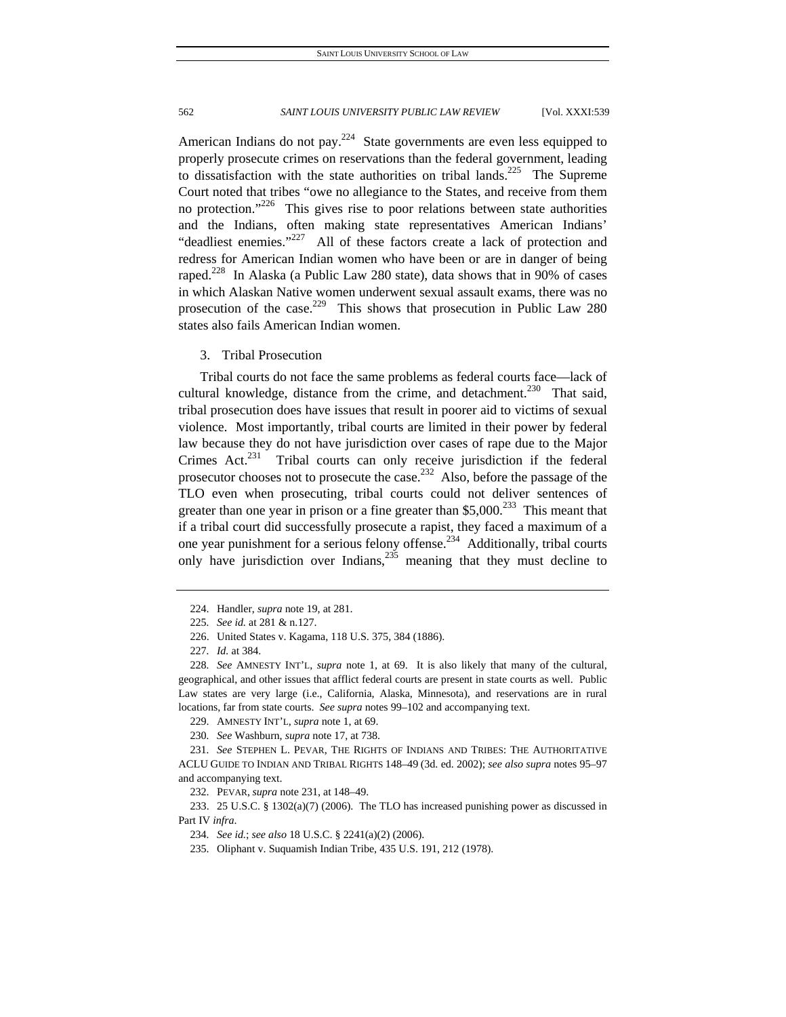American Indians do not pay.<sup>224</sup> State governments are even less equipped to properly prosecute crimes on reservations than the federal government, leading to dissatisfaction with the state authorities on tribal lands.<sup>225</sup> The Supreme Court noted that tribes "owe no allegiance to the States, and receive from them no protection."<sup>226</sup> This gives rise to poor relations between state authorities and the Indians, often making state representatives American Indians' "deadliest enemies."<sup>227</sup> All of these factors create a lack of protection and redress for American Indian women who have been or are in danger of being raped.<sup>228</sup> In Alaska (a Public Law 280 state), data shows that in 90% of cases in which Alaskan Native women underwent sexual assault exams, there was no prosecution of the case.<sup>229</sup> This shows that prosecution in Public Law 280 states also fails American Indian women.

### 3. Tribal Prosecution

Tribal courts do not face the same problems as federal courts face—lack of cultural knowledge, distance from the crime, and detachment.<sup>230</sup> That said, tribal prosecution does have issues that result in poorer aid to victims of sexual violence. Most importantly, tribal courts are limited in their power by federal law because they do not have jurisdiction over cases of rape due to the Major Crimes Act.<sup>231</sup> Tribal courts can only receive jurisdiction if the federal prosecutor chooses not to prosecute the case.<sup>232</sup> Also, before the passage of the TLO even when prosecuting, tribal courts could not deliver sentences of greater than one year in prison or a fine greater than  $$5,000.<sup>233</sup>$  This meant that if a tribal court did successfully prosecute a rapist, they faced a maximum of a one year punishment for a serious felony offense.<sup>234</sup> Additionally, tribal courts only have jurisdiction over Indians,  $235$  meaning that they must decline to

 <sup>224.</sup> Handler, *supra* note 19, at 281.

<sup>225</sup>*. See id.* at 281 & n.127.

 <sup>226.</sup> United States v. Kagama, 118 U.S. 375, 384 (1886).

<sup>227</sup>*. Id.* at 384.

<sup>228</sup>*. See* AMNESTY INT'L, *supra* note 1, at 69. It is also likely that many of the cultural, geographical, and other issues that afflict federal courts are present in state courts as well. Public Law states are very large (i.e., California, Alaska, Minnesota), and reservations are in rural locations, far from state courts. *See supra* notes 99–102 and accompanying text.

 <sup>229.</sup> AMNESTY INT'L, *supra* note 1, at 69.

<sup>230</sup>*. See* Washburn, *supra* note 17, at 738.

<sup>231</sup>*. See* STEPHEN L. PEVAR, THE RIGHTS OF INDIANS AND TRIBES: THE AUTHORITATIVE ACLU GUIDE TO INDIAN AND TRIBAL RIGHTS 148–49 (3d. ed. 2002); *see also supra* notes 95–97 and accompanying text.

 <sup>232.</sup> PEVAR, *supra* note 231, at 148–49.

 <sup>233. 25</sup> U.S.C. § 1302(a)(7) (2006). The TLO has increased punishing power as discussed in Part IV *infra*.

<sup>234</sup>*. See id.*; *see also* 18 U.S.C. § 2241(a)(2) (2006).

 <sup>235.</sup> Oliphant v. Suquamish Indian Tribe, 435 U.S. 191, 212 (1978).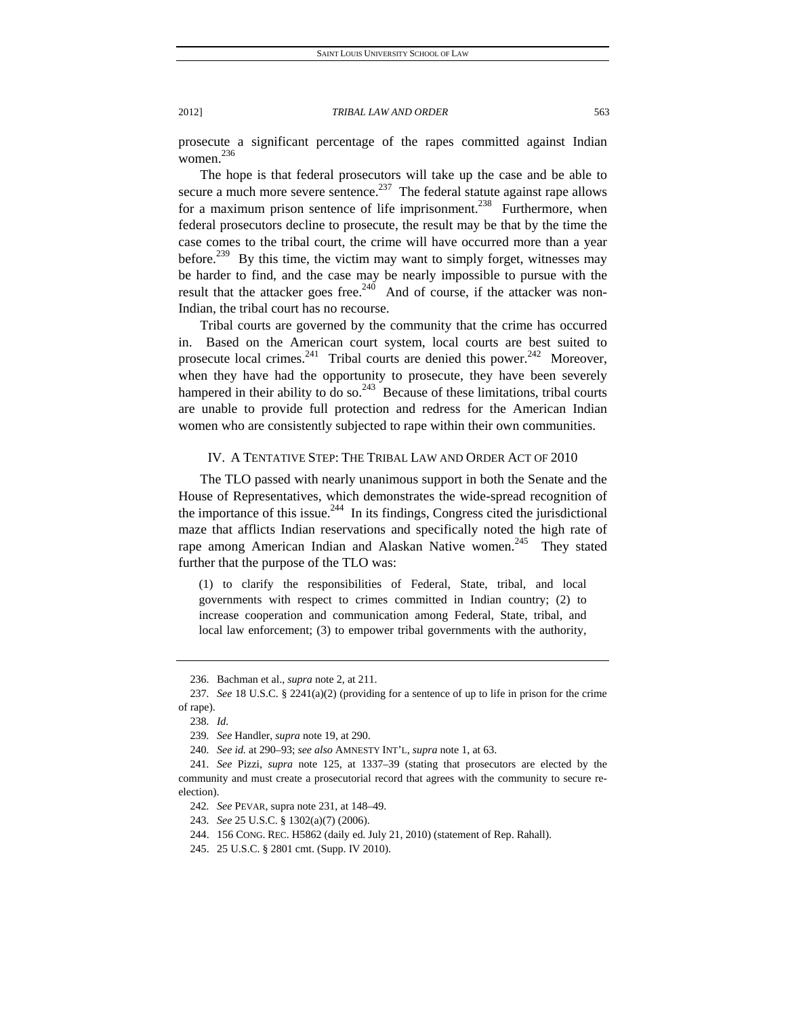prosecute a significant percentage of the rapes committed against Indian women. 236

The hope is that federal prosecutors will take up the case and be able to secure a much more severe sentence.<sup>237</sup> The federal statute against rape allows for a maximum prison sentence of life imprisonment.<sup>238</sup> Furthermore, when federal prosecutors decline to prosecute, the result may be that by the time the case comes to the tribal court, the crime will have occurred more than a year before.<sup>239</sup> By this time, the victim may want to simply forget, witnesses may be harder to find, and the case may be nearly impossible to pursue with the result that the attacker goes free.<sup>240</sup> And of course, if the attacker was non-Indian, the tribal court has no recourse.

Tribal courts are governed by the community that the crime has occurred in. Based on the American court system, local courts are best suited to prosecute local crimes.<sup>241</sup> Tribal courts are denied this power.<sup>242</sup> Moreover, when they have had the opportunity to prosecute, they have been severely hampered in their ability to do so.<sup>243</sup> Because of these limitations, tribal courts are unable to provide full protection and redress for the American Indian women who are consistently subjected to rape within their own communities.

# IV. A TENTATIVE STEP: THE TRIBAL LAW AND ORDER ACT OF 2010

The TLO passed with nearly unanimous support in both the Senate and the House of Representatives, which demonstrates the wide-spread recognition of the importance of this issue.<sup>244</sup> In its findings, Congress cited the jurisdictional maze that afflicts Indian reservations and specifically noted the high rate of rape among American Indian and Alaskan Native women.<sup>245</sup> They stated further that the purpose of the TLO was:

(1) to clarify the responsibilities of Federal, State, tribal, and local governments with respect to crimes committed in Indian country; (2) to increase cooperation and communication among Federal, State, tribal, and local law enforcement; (3) to empower tribal governments with the authority,

 <sup>236.</sup> Bachman et al., *supra* note 2, at 211.

<sup>237</sup>*. See* 18 U.S.C. § 2241(a)(2) (providing for a sentence of up to life in prison for the crime of rape).

<sup>238</sup>*. Id.*

<sup>239</sup>*. See* Handler, *supra* note 19, at 290.

<sup>240</sup>*. See id.* at 290–93; *see also* AMNESTY INT'L, *supra* note 1, at 63.

<sup>241</sup>*. See* Pizzi, *supra* note 125, at 1337–39 (stating that prosecutors are elected by the community and must create a prosecutorial record that agrees with the community to secure reelection).

<sup>242</sup>*. See* PEVAR, supra note 231, at 148–49.

<sup>243</sup>*. See* 25 U.S.C. § 1302(a)(7) (2006).

 <sup>244. 156</sup> CONG. REC. H5862 (daily ed. July 21, 2010) (statement of Rep. Rahall).

 <sup>245. 25</sup> U.S.C. § 2801 cmt. (Supp. IV 2010).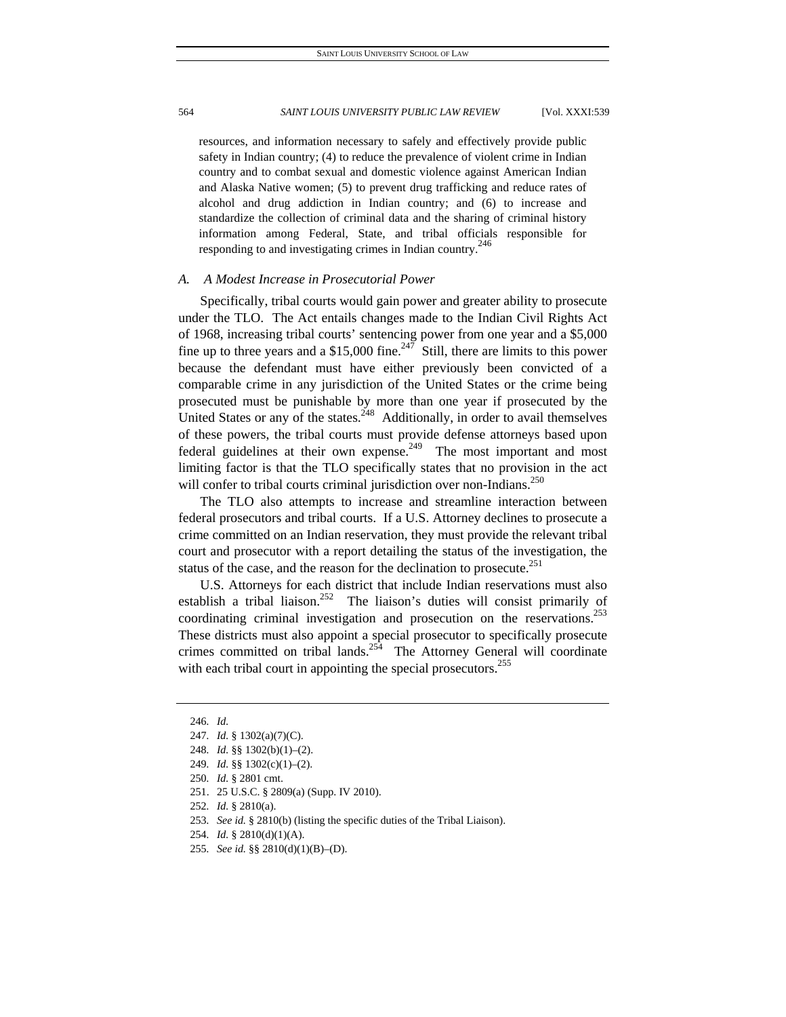resources, and information necessary to safely and effectively provide public safety in Indian country; (4) to reduce the prevalence of violent crime in Indian country and to combat sexual and domestic violence against American Indian and Alaska Native women; (5) to prevent drug trafficking and reduce rates of alcohol and drug addiction in Indian country; and (6) to increase and standardize the collection of criminal data and the sharing of criminal history information among Federal, State, and tribal officials responsible for responding to and investigating crimes in Indian country.<sup>246</sup>

## *A. A Modest Increase in Prosecutorial Power*

Specifically, tribal courts would gain power and greater ability to prosecute under the TLO. The Act entails changes made to the Indian Civil Rights Act of 1968, increasing tribal courts' sentencing power from one year and a \$5,000 fine up to three years and a  $$15,000$  fine.<sup>247</sup> Still, there are limits to this power because the defendant must have either previously been convicted of a comparable crime in any jurisdiction of the United States or the crime being prosecuted must be punishable by more than one year if prosecuted by the United States or any of the states.<sup>248</sup> Additionally, in order to avail themselves of these powers, the tribal courts must provide defense attorneys based upon federal guidelines at their own expense.<sup>249</sup> The most important and most limiting factor is that the TLO specifically states that no provision in the act will confer to tribal courts criminal jurisdiction over non-Indians.<sup>250</sup>

The TLO also attempts to increase and streamline interaction between federal prosecutors and tribal courts. If a U.S. Attorney declines to prosecute a crime committed on an Indian reservation, they must provide the relevant tribal court and prosecutor with a report detailing the status of the investigation, the status of the case, and the reason for the declination to prosecute.<sup>251</sup>

U.S. Attorneys for each district that include Indian reservations must also establish a tribal liaison.<sup>252</sup> The liaison's duties will consist primarily of coordinating criminal investigation and prosecution on the reservations.<sup>253</sup> These districts must also appoint a special prosecutor to specifically prosecute crimes committed on tribal lands.<sup>254</sup> The Attorney General will coordinate with each tribal court in appointing the special prosecutors.<sup>255</sup>

<sup>246</sup>*. Id.*

<sup>247</sup>*. Id.* § 1302(a)(7)(C).

<sup>248</sup>*. Id.* §§ 1302(b)(1)–(2).

<sup>249</sup>*. Id.* §§ 1302(c)(1)–(2).

<sup>250</sup>*. Id.* § 2801 cmt.

 <sup>251. 25</sup> U.S.C. § 2809(a) (Supp. IV 2010).

<sup>252</sup>*. Id.* § 2810(a).

<sup>253</sup>*. See id.* § 2810(b) (listing the specific duties of the Tribal Liaison).

<sup>254</sup>*. Id.* § 2810(d)(1)(A).

<sup>255</sup>*. See id.* §§ 2810(d)(1)(B)–(D).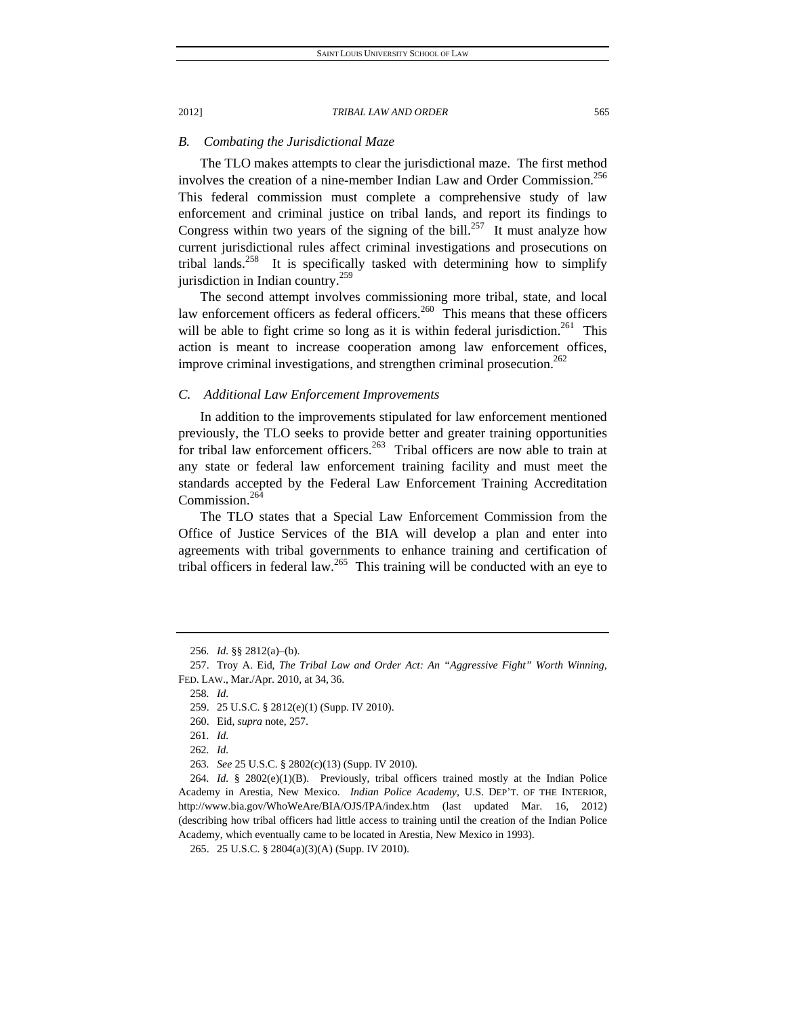### *B. Combating the Jurisdictional Maze*

The TLO makes attempts to clear the jurisdictional maze. The first method involves the creation of a nine-member Indian Law and Order Commission.<sup>256</sup> This federal commission must complete a comprehensive study of law enforcement and criminal justice on tribal lands, and report its findings to Congress within two years of the signing of the bill.<sup>257</sup> It must analyze how current jurisdictional rules affect criminal investigations and prosecutions on tribal lands.<sup>258</sup> It is specifically tasked with determining how to simplify jurisdiction in Indian country.<sup>259</sup>

The second attempt involves commissioning more tribal, state, and local law enforcement officers as federal officers.<sup>260</sup> This means that these officers will be able to fight crime so long as it is within federal jurisdiction.<sup>261</sup> This action is meant to increase cooperation among law enforcement offices, improve criminal investigations, and strengthen criminal prosecution.<sup>262</sup>

# *C. Additional Law Enforcement Improvements*

In addition to the improvements stipulated for law enforcement mentioned previously, the TLO seeks to provide better and greater training opportunities for tribal law enforcement officers.<sup>263</sup> Tribal officers are now able to train at any state or federal law enforcement training facility and must meet the standards accepted by the Federal Law Enforcement Training Accreditation Commission.<sup>264</sup>

The TLO states that a Special Law Enforcement Commission from the Office of Justice Services of the BIA will develop a plan and enter into agreements with tribal governments to enhance training and certification of tribal officers in federal law.<sup>265</sup> This training will be conducted with an eve to

<sup>256</sup>*. Id.* §§ 2812(a)–(b).

 <sup>257.</sup> Troy A. Eid, *The Tribal Law and Order Act: An "Aggressive Fight" Worth Winning*, FED. LAW., Mar./Apr. 2010, at 34, 36.

<sup>258</sup>*. Id.*

 <sup>259. 25</sup> U.S.C. § 2812(e)(1) (Supp. IV 2010).

 <sup>260.</sup> Eid, *supra* note, 257.

<sup>261</sup>*. Id.*

<sup>262</sup>*. Id.*

<sup>263</sup>*. See* 25 U.S.C. § 2802(c)(13) (Supp. IV 2010).

<sup>264</sup>*. Id.* § 2802(e)(1)(B). Previously, tribal officers trained mostly at the Indian Police Academy in Arestia, New Mexico. *Indian Police Academy*, U.S. DEP'T. OF THE INTERIOR, http://www.bia.gov/WhoWeAre/BIA/OJS/IPA/index.htm (last updated Mar. 16, 2012) (describing how tribal officers had little access to training until the creation of the Indian Police Academy, which eventually came to be located in Arestia, New Mexico in 1993).

 <sup>265. 25</sup> U.S.C. § 2804(a)(3)(A) (Supp. IV 2010).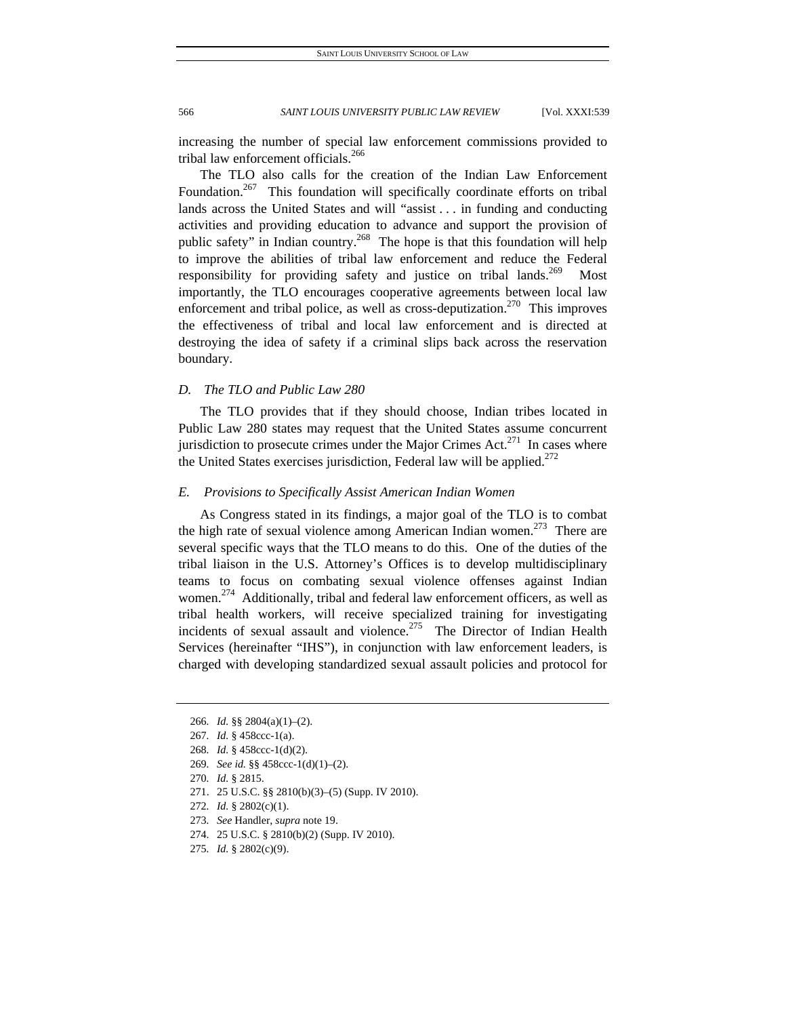increasing the number of special law enforcement commissions provided to tribal law enforcement officials.<sup>266</sup>

The TLO also calls for the creation of the Indian Law Enforcement Foundation.<sup>267</sup> This foundation will specifically coordinate efforts on tribal lands across the United States and will "assist . . . in funding and conducting activities and providing education to advance and support the provision of public safety" in Indian country.<sup>268</sup> The hope is that this foundation will help to improve the abilities of tribal law enforcement and reduce the Federal responsibility for providing safety and justice on tribal lands.<sup>269</sup> Most importantly, the TLO encourages cooperative agreements between local law enforcement and tribal police, as well as cross-deputization.<sup>270</sup> This improves the effectiveness of tribal and local law enforcement and is directed at destroying the idea of safety if a criminal slips back across the reservation boundary.

# *D. The TLO and Public Law 280*

The TLO provides that if they should choose, Indian tribes located in Public Law 280 states may request that the United States assume concurrent jurisdiction to prosecute crimes under the Major Crimes Act.<sup>271</sup> In cases where the United States exercises jurisdiction, Federal law will be applied.<sup>272</sup>

# *E. Provisions to Specifically Assist American Indian Women*

As Congress stated in its findings, a major goal of the TLO is to combat the high rate of sexual violence among American Indian women.<sup>273</sup> There are several specific ways that the TLO means to do this. One of the duties of the tribal liaison in the U.S. Attorney's Offices is to develop multidisciplinary teams to focus on combating sexual violence offenses against Indian women.<sup>274</sup> Additionally, tribal and federal law enforcement officers, as well as tribal health workers, will receive specialized training for investigating incidents of sexual assault and violence.<sup>275</sup> The Director of Indian Health Services (hereinafter "IHS"), in conjunction with law enforcement leaders, is charged with developing standardized sexual assault policies and protocol for

<sup>266</sup>*. Id.* §§ 2804(a)(1)–(2).

<sup>267</sup>*. Id.* § 458ccc-1(a).

<sup>268</sup>*. Id.* § 458ccc-1(d)(2).

<sup>269</sup>*. See id.* §§ 458ccc-1(d)(1)–(2).

<sup>270</sup>*. Id.* § 2815.

 <sup>271. 25</sup> U.S.C. §§ 2810(b)(3)–(5) (Supp. IV 2010).

<sup>272</sup>*. Id.* § 2802(c)(1).

<sup>273</sup>*. See* Handler, *supra* note 19.

 <sup>274. 25</sup> U.S.C. § 2810(b)(2) (Supp. IV 2010).

<sup>275</sup>*. Id.* § 2802(c)(9).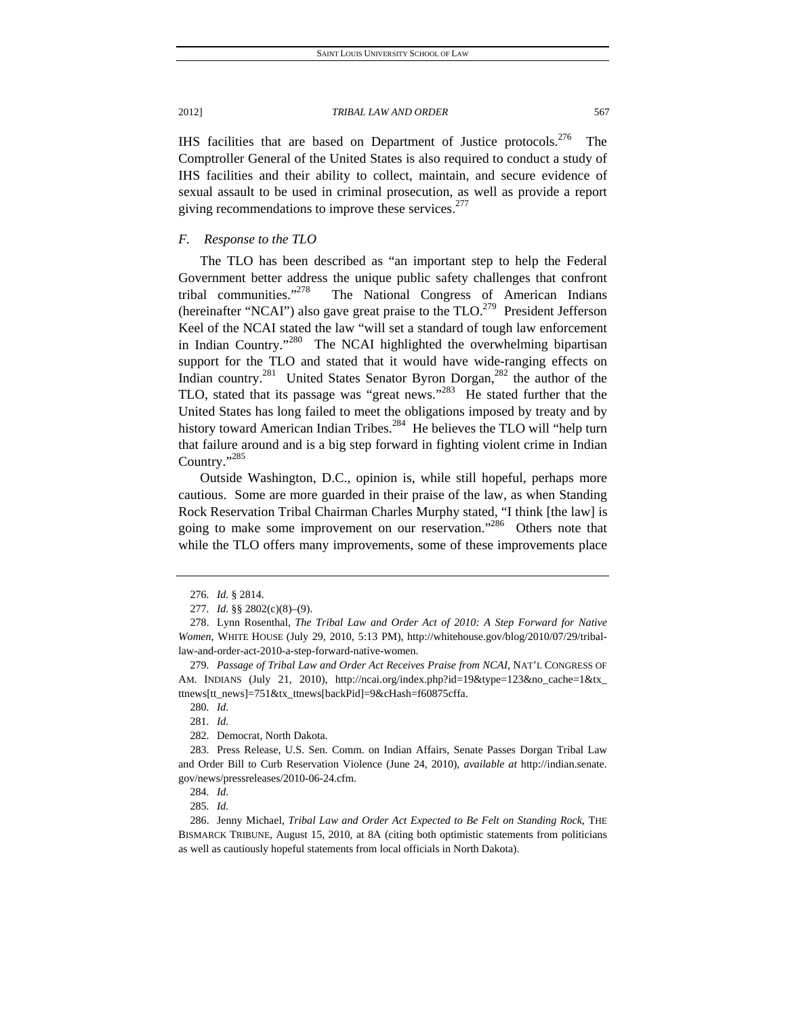IHS facilities that are based on Department of Justice protocols.<sup>276</sup> The Comptroller General of the United States is also required to conduct a study of IHS facilities and their ability to collect, maintain, and secure evidence of sexual assault to be used in criminal prosecution, as well as provide a report giving recommendations to improve these services. $277$ 

# *F. Response to the TLO*

The TLO has been described as "an important step to help the Federal Government better address the unique public safety challenges that confront tribal communities."<sup>278</sup> The National Congress of American Indians (hereinafter "NCAI") also gave great praise to the  $TLO.<sup>279</sup>$  President Jefferson Keel of the NCAI stated the law "will set a standard of tough law enforcement in Indian Country."<sup>280</sup> The NCAI highlighted the overwhelming bipartisan support for the TLO and stated that it would have wide-ranging effects on Indian country.<sup>281</sup> United States Senator Byron Dorgan,<sup>282</sup> the author of the TLO, stated that its passage was "great news."<sup>283</sup> He stated further that the United States has long failed to meet the obligations imposed by treaty and by history toward American Indian Tribes.<sup>284</sup> He believes the TLO will "help turn that failure around and is a big step forward in fighting violent crime in Indian Country."285

Outside Washington, D.C., opinion is, while still hopeful, perhaps more cautious. Some are more guarded in their praise of the law, as when Standing Rock Reservation Tribal Chairman Charles Murphy stated, "I think [the law] is going to make some improvement on our reservation."286 Others note that while the TLO offers many improvements, some of these improvements place

<sup>276</sup>*. Id.* § 2814.

<sup>277</sup>*. Id.* §§ 2802(c)(8)–(9).

 <sup>278.</sup> Lynn Rosenthal, *The Tribal Law and Order Act of 2010: A Step Forward for Native Women*, WHITE HOUSE (July 29, 2010, 5:13 PM), http://whitehouse.gov/blog/2010/07/29/triballaw-and-order-act-2010-a-step-forward-native-women.

<sup>279</sup>*. Passage of Tribal Law and Order Act Receives Praise from NCAI*, NAT'L CONGRESS OF AM. INDIANS (July 21, 2010), http://ncai.org/index.php?id=19&type=123&no\_cache=1&tx\_ ttnews[tt\_news]=751&tx\_ttnews[backPid]=9&cHash=f60875cffa.

<sup>280</sup>*. Id.*

<sup>281</sup>*. Id.*

 <sup>282.</sup> Democrat, North Dakota.

 <sup>283.</sup> Press Release, U.S. Sen. Comm. on Indian Affairs, Senate Passes Dorgan Tribal Law and Order Bill to Curb Reservation Violence (June 24, 2010), *available at* http://indian.senate. gov/news/pressreleases/2010-06-24.cfm.

<sup>284</sup>*. Id.*

<sup>285</sup>*. Id.*

 <sup>286.</sup> Jenny Michael, *Tribal Law and Order Act Expected to Be Felt on Standing Rock*, THE BISMARCK TRIBUNE, August 15, 2010, at 8A (citing both optimistic statements from politicians as well as cautiously hopeful statements from local officials in North Dakota).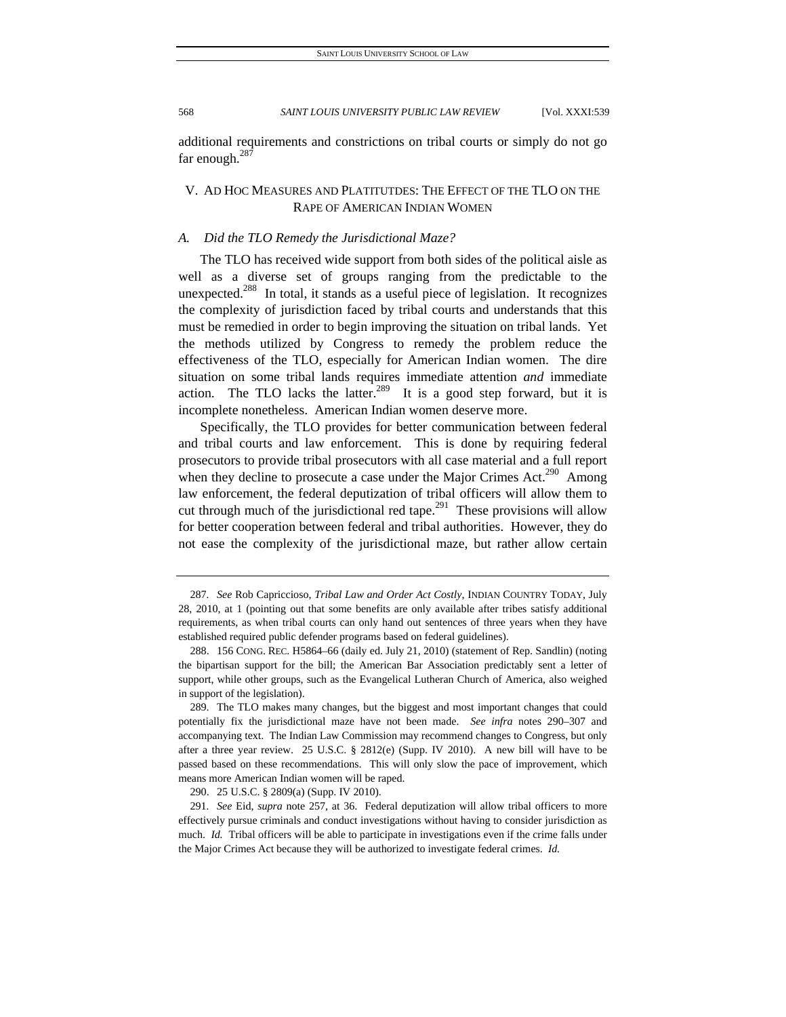additional requirements and constrictions on tribal courts or simply do not go far enough.287

# V. AD HOC MEASURES AND PLATITUTDES: THE EFFECT OF THE TLO ON THE RAPE OF AMERICAN INDIAN WOMEN

# *A. Did the TLO Remedy the Jurisdictional Maze?*

The TLO has received wide support from both sides of the political aisle as well as a diverse set of groups ranging from the predictable to the unexpected.<sup>288</sup> In total, it stands as a useful piece of legislation. It recognizes the complexity of jurisdiction faced by tribal courts and understands that this must be remedied in order to begin improving the situation on tribal lands. Yet the methods utilized by Congress to remedy the problem reduce the effectiveness of the TLO, especially for American Indian women. The dire situation on some tribal lands requires immediate attention *and* immediate action. The TLO lacks the latter.<sup>289</sup> It is a good step forward, but it is incomplete nonetheless. American Indian women deserve more.

Specifically, the TLO provides for better communication between federal and tribal courts and law enforcement. This is done by requiring federal prosecutors to provide tribal prosecutors with all case material and a full report when they decline to prosecute a case under the Major Crimes Act.<sup>290</sup> Among law enforcement, the federal deputization of tribal officers will allow them to cut through much of the jurisdictional red tape.<sup>291</sup> These provisions will allow for better cooperation between federal and tribal authorities. However, they do not ease the complexity of the jurisdictional maze, but rather allow certain

290. 25 U.S.C. § 2809(a) (Supp. IV 2010).

<sup>287</sup>*. See* Rob Capriccioso, *Tribal Law and Order Act Costly*, INDIAN COUNTRY TODAY, July 28, 2010, at 1 (pointing out that some benefits are only available after tribes satisfy additional requirements, as when tribal courts can only hand out sentences of three years when they have established required public defender programs based on federal guidelines).

 <sup>288. 156</sup> CONG. REC. H5864–66 (daily ed. July 21, 2010) (statement of Rep. Sandlin) (noting the bipartisan support for the bill; the American Bar Association predictably sent a letter of support, while other groups, such as the Evangelical Lutheran Church of America, also weighed in support of the legislation).

 <sup>289.</sup> The TLO makes many changes, but the biggest and most important changes that could potentially fix the jurisdictional maze have not been made. *See infra* notes 290–307 and accompanying text. The Indian Law Commission may recommend changes to Congress, but only after a three year review. 25 U.S.C. § 2812(e) (Supp. IV 2010). A new bill will have to be passed based on these recommendations. This will only slow the pace of improvement, which means more American Indian women will be raped.

<sup>291</sup>*. See* Eid, *supra* note 257, at 36. Federal deputization will allow tribal officers to more effectively pursue criminals and conduct investigations without having to consider jurisdiction as much. *Id.* Tribal officers will be able to participate in investigations even if the crime falls under the Major Crimes Act because they will be authorized to investigate federal crimes. *Id.*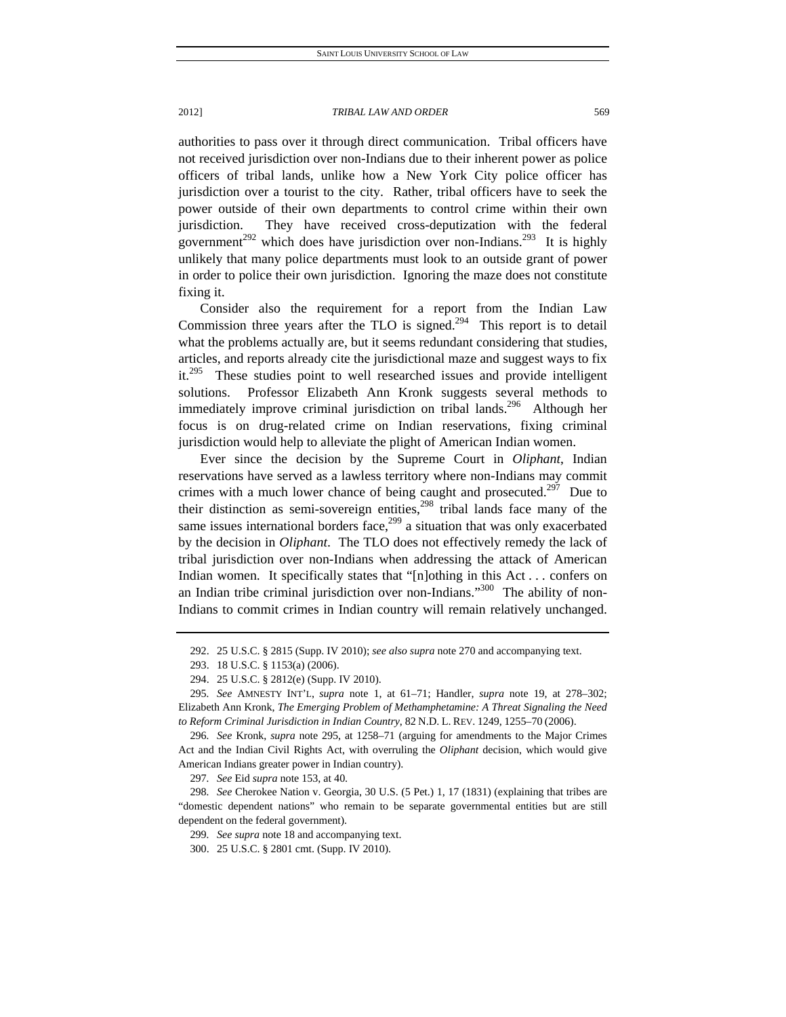authorities to pass over it through direct communication. Tribal officers have

not received jurisdiction over non-Indians due to their inherent power as police officers of tribal lands, unlike how a New York City police officer has jurisdiction over a tourist to the city. Rather, tribal officers have to seek the power outside of their own departments to control crime within their own jurisdiction. They have received cross-deputization with the federal government<sup>292</sup> which does have jurisdiction over non-Indians.<sup>293</sup> It is highly unlikely that many police departments must look to an outside grant of power in order to police their own jurisdiction. Ignoring the maze does not constitute fixing it.

Consider also the requirement for a report from the Indian Law Commission three years after the TLO is signed.<sup>294</sup> This report is to detail what the problems actually are, but it seems redundant considering that studies, articles, and reports already cite the jurisdictional maze and suggest ways to fix it.<sup>295</sup> These studies point to well researched issues and provide intelligent solutions. Professor Elizabeth Ann Kronk suggests several methods to immediately improve criminal jurisdiction on tribal lands.<sup>296</sup> Although her focus is on drug-related crime on Indian reservations, fixing criminal jurisdiction would help to alleviate the plight of American Indian women.

Ever since the decision by the Supreme Court in *Oliphant*, Indian reservations have served as a lawless territory where non-Indians may commit crimes with a much lower chance of being caught and prosecuted.<sup>297</sup> Due to their distinction as semi-sovereign entities, $298$  tribal lands face many of the same issues international borders face, $299$  a situation that was only exacerbated by the decision in *Oliphant*. The TLO does not effectively remedy the lack of tribal jurisdiction over non-Indians when addressing the attack of American Indian women. It specifically states that "[n]othing in this Act... confers on an Indian tribe criminal jurisdiction over non-Indians."<sup>300</sup> The ability of non-Indians to commit crimes in Indian country will remain relatively unchanged.

297*. See* Eid *supra* note 153, at 40.

298*. See* Cherokee Nation v. Georgia, 30 U.S. (5 Pet.) 1, 17 (1831) (explaining that tribes are "domestic dependent nations" who remain to be separate governmental entities but are still dependent on the federal government).

299*. See supra* note 18 and accompanying text.

 <sup>292. 25</sup> U.S.C. § 2815 (Supp. IV 2010); *see also supra* note 270 and accompanying text.

 <sup>293. 18</sup> U.S.C. § 1153(a) (2006).

 <sup>294. 25</sup> U.S.C. § 2812(e) (Supp. IV 2010).

<sup>295</sup>*. See* AMNESTY INT'L, *supra* note 1, at 61–71; Handler, *supra* note 19, at 278–302; Elizabeth Ann Kronk, *The Emerging Problem of Methamphetamine: A Threat Signaling the Need to Reform Criminal Jurisdiction in Indian Country*, 82 N.D. L. REV. 1249, 1255–70 (2006).

<sup>296</sup>*. See* Kronk, *supra* note 295, at 1258–71 (arguing for amendments to the Major Crimes Act and the Indian Civil Rights Act, with overruling the *Oliphant* decision, which would give American Indians greater power in Indian country).

 <sup>300. 25</sup> U.S.C. § 2801 cmt. (Supp. IV 2010).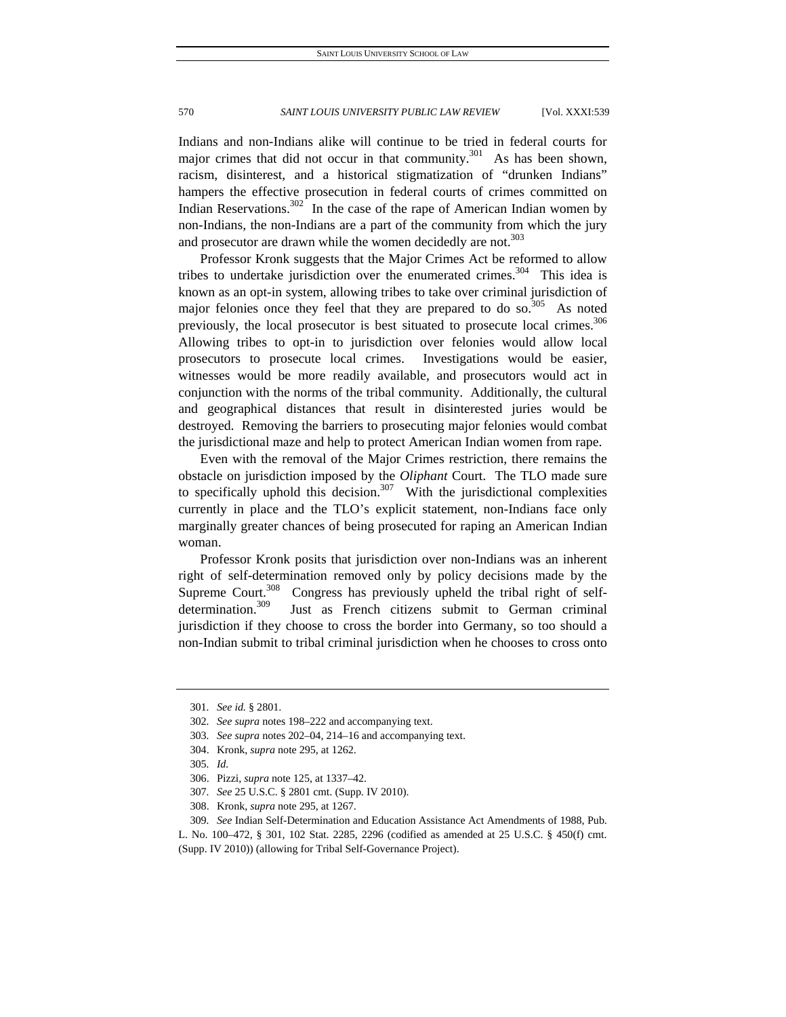Indians and non-Indians alike will continue to be tried in federal courts for major crimes that did not occur in that community.<sup>301</sup> As has been shown, racism, disinterest, and a historical stigmatization of "drunken Indians" hampers the effective prosecution in federal courts of crimes committed on Indian Reservations.<sup>302</sup> In the case of the rape of American Indian women by non-Indians, the non-Indians are a part of the community from which the jury and prosecutor are drawn while the women decidedly are not.<sup>303</sup>

Professor Kronk suggests that the Major Crimes Act be reformed to allow tribes to undertake jurisdiction over the enumerated crimes.<sup>304</sup> This idea is known as an opt-in system, allowing tribes to take over criminal jurisdiction of major felonies once they feel that they are prepared to do so.<sup>305</sup> As noted previously, the local prosecutor is best situated to prosecute local crimes.<sup>306</sup> Allowing tribes to opt-in to jurisdiction over felonies would allow local prosecutors to prosecute local crimes. Investigations would be easier, witnesses would be more readily available, and prosecutors would act in conjunction with the norms of the tribal community. Additionally, the cultural and geographical distances that result in disinterested juries would be destroyed. Removing the barriers to prosecuting major felonies would combat the jurisdictional maze and help to protect American Indian women from rape.

Even with the removal of the Major Crimes restriction, there remains the obstacle on jurisdiction imposed by the *Oliphant* Court. The TLO made sure to specifically uphold this decision.<sup>307</sup> With the jurisdictional complexities currently in place and the TLO's explicit statement, non-Indians face only marginally greater chances of being prosecuted for raping an American Indian woman.

Professor Kronk posits that jurisdiction over non-Indians was an inherent right of self-determination removed only by policy decisions made by the Supreme Court.<sup>308</sup> Congress has previously upheld the tribal right of selfdetermination.<sup>309</sup> Just as French citizens submit to German criminal jurisdiction if they choose to cross the border into Germany, so too should a non-Indian submit to tribal criminal jurisdiction when he chooses to cross onto

<sup>301</sup>*. See id.* § 2801.

<sup>302</sup>*. See supra* notes 198–222 and accompanying text.

<sup>303</sup>*. See supra* notes 202–04, 214–16 and accompanying text.

 <sup>304.</sup> Kronk, *supra* note 295, at 1262.

<sup>305</sup>*. Id.*

 <sup>306.</sup> Pizzi, *supra* note 125, at 1337–42.

<sup>307</sup>*. See* 25 U.S.C. § 2801 cmt. (Supp. IV 2010).

 <sup>308.</sup> Kronk, *supra* note 295, at 1267.

<sup>309</sup>*. See* Indian Self-Determination and Education Assistance Act Amendments of 1988, Pub.

L. No. 100–472, § 301, 102 Stat. 2285, 2296 (codified as amended at 25 U.S.C. § 450(f) cmt. (Supp. IV 2010)) (allowing for Tribal Self-Governance Project).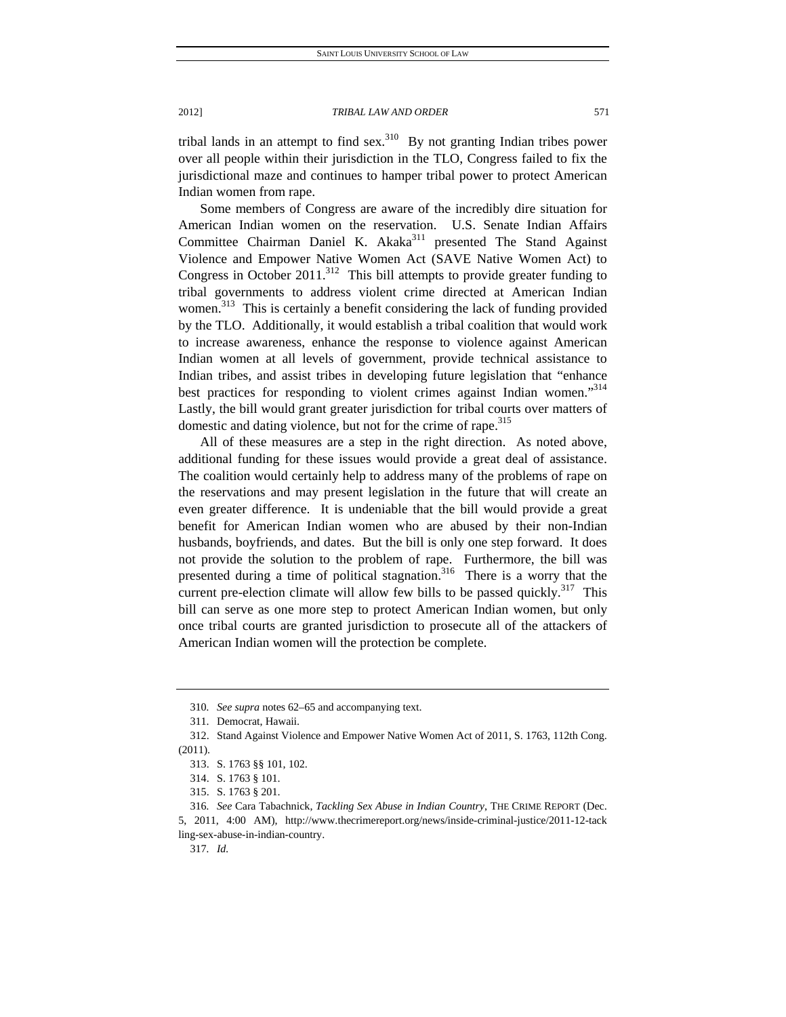tribal lands in an attempt to find  $sex$ .<sup>310</sup> By not granting Indian tribes power over all people within their jurisdiction in the TLO, Congress failed to fix the jurisdictional maze and continues to hamper tribal power to protect American Indian women from rape.

Some members of Congress are aware of the incredibly dire situation for American Indian women on the reservation. U.S. Senate Indian Affairs Committee Chairman Daniel K. Akaka<sup>311</sup> presented The Stand Against Violence and Empower Native Women Act (SAVE Native Women Act) to Congress in October 2011.<sup>312</sup> This bill attempts to provide greater funding to tribal governments to address violent crime directed at American Indian women.<sup>313</sup> This is certainly a benefit considering the lack of funding provided by the TLO. Additionally, it would establish a tribal coalition that would work to increase awareness, enhance the response to violence against American Indian women at all levels of government, provide technical assistance to Indian tribes, and assist tribes in developing future legislation that "enhance best practices for responding to violent crimes against Indian women."<sup>314</sup> Lastly, the bill would grant greater jurisdiction for tribal courts over matters of domestic and dating violence, but not for the crime of rape.<sup>315</sup>

All of these measures are a step in the right direction. As noted above, additional funding for these issues would provide a great deal of assistance. The coalition would certainly help to address many of the problems of rape on the reservations and may present legislation in the future that will create an even greater difference. It is undeniable that the bill would provide a great benefit for American Indian women who are abused by their non-Indian husbands, boyfriends, and dates. But the bill is only one step forward. It does not provide the solution to the problem of rape. Furthermore, the bill was presented during a time of political stagnation.<sup>316</sup> There is a worry that the current pre-election climate will allow few bills to be passed quickly.<sup>317</sup> This bill can serve as one more step to protect American Indian women, but only once tribal courts are granted jurisdiction to prosecute all of the attackers of American Indian women will the protection be complete.

<sup>310</sup>*. See supra* notes 62–65 and accompanying text.

 <sup>311.</sup> Democrat, Hawaii.

 <sup>312.</sup> Stand Against Violence and Empower Native Women Act of 2011, S. 1763, 112th Cong. (2011).

 <sup>313.</sup> S. 1763 §§ 101, 102.

 <sup>314.</sup> S. 1763 § 101.

 <sup>315.</sup> S. 1763 § 201.

<sup>316</sup>*. See* Cara Tabachnick, *Tackling Sex Abuse in Indian Country*, THE CRIME REPORT (Dec. 5, 2011, 4:00 AM), http://www.thecrimereport.org/news/inside-criminal-justice/2011-12-tack ling-sex-abuse-in-indian-country.

<sup>317</sup>*. Id.*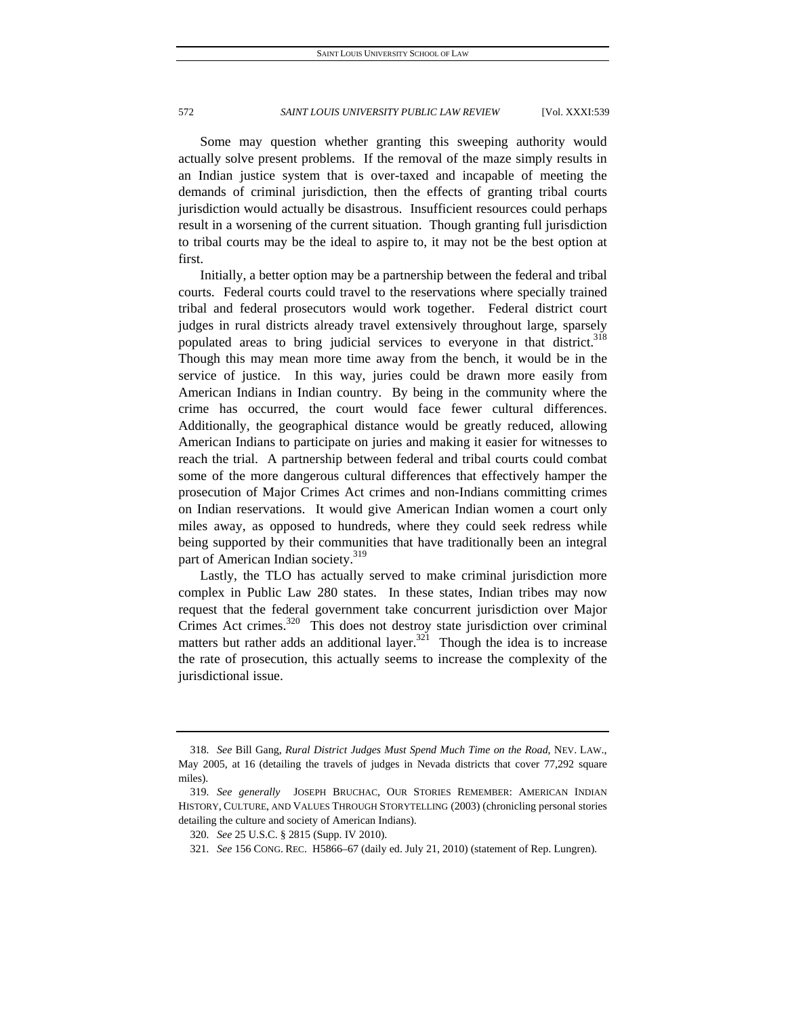Some may question whether granting this sweeping authority would actually solve present problems. If the removal of the maze simply results in an Indian justice system that is over-taxed and incapable of meeting the demands of criminal jurisdiction, then the effects of granting tribal courts jurisdiction would actually be disastrous. Insufficient resources could perhaps result in a worsening of the current situation. Though granting full jurisdiction to tribal courts may be the ideal to aspire to, it may not be the best option at first.

Initially, a better option may be a partnership between the federal and tribal courts. Federal courts could travel to the reservations where specially trained tribal and federal prosecutors would work together. Federal district court judges in rural districts already travel extensively throughout large, sparsely populated areas to bring judicial services to everyone in that district.<sup>318</sup> Though this may mean more time away from the bench, it would be in the service of justice. In this way, juries could be drawn more easily from American Indians in Indian country. By being in the community where the crime has occurred, the court would face fewer cultural differences. Additionally, the geographical distance would be greatly reduced, allowing American Indians to participate on juries and making it easier for witnesses to reach the trial. A partnership between federal and tribal courts could combat some of the more dangerous cultural differences that effectively hamper the prosecution of Major Crimes Act crimes and non-Indians committing crimes on Indian reservations. It would give American Indian women a court only miles away, as opposed to hundreds, where they could seek redress while being supported by their communities that have traditionally been an integral part of American Indian society.<sup>319</sup>

Lastly, the TLO has actually served to make criminal jurisdiction more complex in Public Law 280 states. In these states, Indian tribes may now request that the federal government take concurrent jurisdiction over Major Crimes Act crimes. $320$  This does not destroy state jurisdiction over criminal matters but rather adds an additional layer.<sup>321</sup> Though the idea is to increase the rate of prosecution, this actually seems to increase the complexity of the jurisdictional issue.

<sup>318</sup>*. See* Bill Gang, *Rural District Judges Must Spend Much Time on the Road*, NEV. LAW., May 2005, at 16 (detailing the travels of judges in Nevada districts that cover 77,292 square miles).

<sup>319</sup>*. See generally* JOSEPH BRUCHAC, OUR STORIES REMEMBER: AMERICAN INDIAN HISTORY, CULTURE, AND VALUES THROUGH STORYTELLING (2003) (chronicling personal stories detailing the culture and society of American Indians).

<sup>320</sup>*. See* 25 U.S.C. § 2815 (Supp. IV 2010).

<sup>321</sup>*. See* 156 CONG. REC. H5866–67 (daily ed. July 21, 2010) (statement of Rep. Lungren).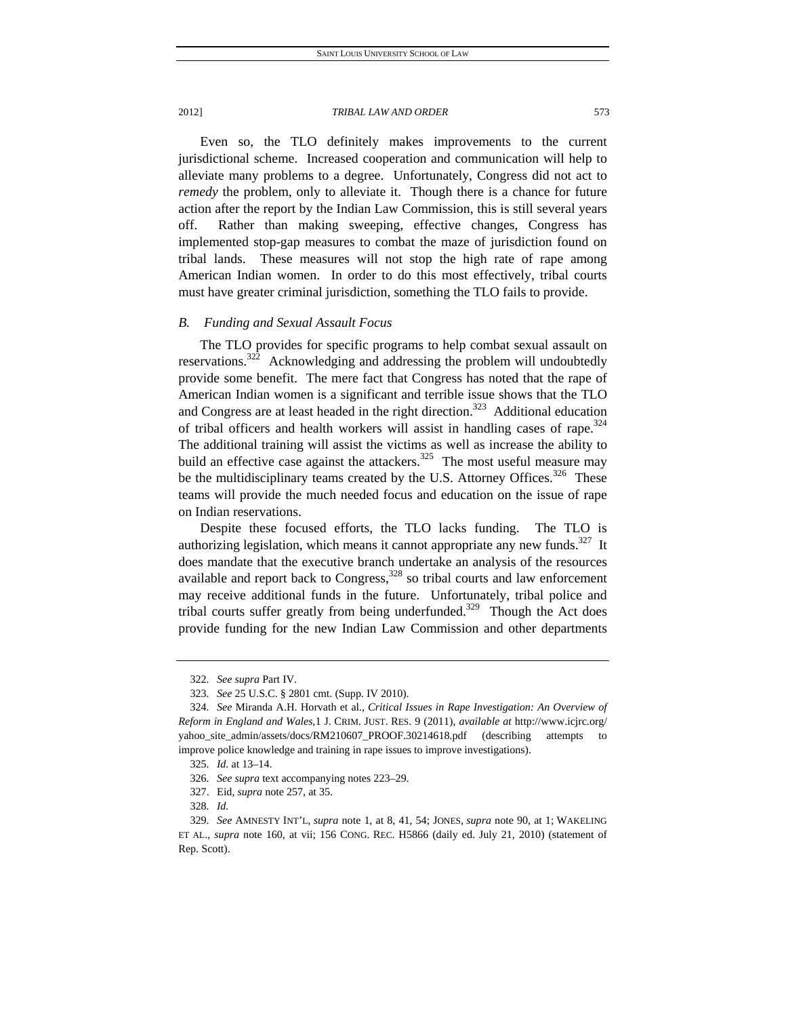Even so, the TLO definitely makes improvements to the current jurisdictional scheme. Increased cooperation and communication will help to alleviate many problems to a degree. Unfortunately, Congress did not act to *remedy* the problem, only to alleviate it. Though there is a chance for future action after the report by the Indian Law Commission, this is still several years off. Rather than making sweeping, effective changes, Congress has implemented stop-gap measures to combat the maze of jurisdiction found on tribal lands. These measures will not stop the high rate of rape among American Indian women. In order to do this most effectively, tribal courts must have greater criminal jurisdiction, something the TLO fails to provide.

### *B. Funding and Sexual Assault Focus*

The TLO provides for specific programs to help combat sexual assault on reservations.<sup>322</sup> Acknowledging and addressing the problem will undoubtedly provide some benefit. The mere fact that Congress has noted that the rape of American Indian women is a significant and terrible issue shows that the TLO and Congress are at least headed in the right direction.<sup>323</sup> Additional education of tribal officers and health workers will assist in handling cases of rape.<sup>324</sup> The additional training will assist the victims as well as increase the ability to build an effective case against the attackers.<sup>325</sup> The most useful measure may be the multidisciplinary teams created by the U.S. Attorney Offices.<sup>326</sup> These teams will provide the much needed focus and education on the issue of rape on Indian reservations.

Despite these focused efforts, the TLO lacks funding. The TLO is authorizing legislation, which means it cannot appropriate any new funds.<sup>327</sup> It does mandate that the executive branch undertake an analysis of the resources available and report back to Congress, $328$  so tribal courts and law enforcement may receive additional funds in the future. Unfortunately, tribal police and tribal courts suffer greatly from being underfunded.<sup>329</sup> Though the Act does provide funding for the new Indian Law Commission and other departments

<sup>322</sup>*. See supra* Part IV.

<sup>323</sup>*. See* 25 U.S.C. § 2801 cmt. (Supp. IV 2010).

<sup>324</sup>*. See* Miranda A.H. Horvath et al., *Critical Issues in Rape Investigation: An Overview of Reform in England and Wales*,1 J. CRIM. JUST. RES. 9 (2011), *available at* http://www.icjrc.org/ yahoo\_site\_admin/assets/docs/RM210607\_PROOF.30214618.pdf (describing attempts to improve police knowledge and training in rape issues to improve investigations).

<sup>325</sup>*. Id.* at 13–14.

<sup>326</sup>*. See supra* text accompanying notes 223–29.

 <sup>327.</sup> Eid, *supra* note 257, at 35.

<sup>328</sup>*. Id.*

<sup>329</sup>*. See* AMNESTY INT'L, *supra* note 1, at 8, 41, 54; JONES, *supra* note 90, at 1; WAKELING ET AL.*, supra* note 160, at vii; 156 CONG. REC. H5866 (daily ed. July 21, 2010) (statement of Rep. Scott).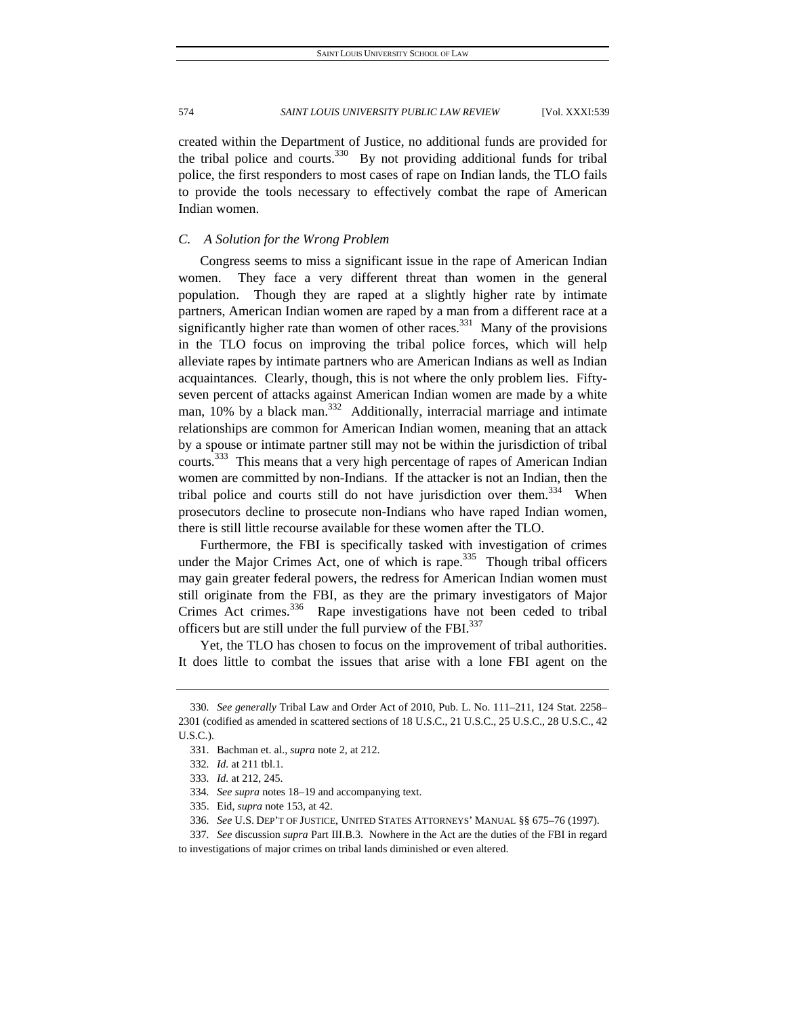created within the Department of Justice, no additional funds are provided for the tribal police and courts.<sup>330</sup> By not providing additional funds for tribal police, the first responders to most cases of rape on Indian lands, the TLO fails to provide the tools necessary to effectively combat the rape of American Indian women.

# *C. A Solution for the Wrong Problem*

Congress seems to miss a significant issue in the rape of American Indian women. They face a very different threat than women in the general population. Though they are raped at a slightly higher rate by intimate partners, American Indian women are raped by a man from a different race at a significantly higher rate than women of other races.<sup>331</sup> Many of the provisions in the TLO focus on improving the tribal police forces, which will help alleviate rapes by intimate partners who are American Indians as well as Indian acquaintances. Clearly, though, this is not where the only problem lies. Fiftyseven percent of attacks against American Indian women are made by a white man,  $10\%$  by a black man.<sup>332</sup> Additionally, interracial marriage and intimate relationships are common for American Indian women, meaning that an attack by a spouse or intimate partner still may not be within the jurisdiction of tribal courts.<sup>333</sup> This means that a very high percentage of rapes of American Indian women are committed by non-Indians. If the attacker is not an Indian, then the tribal police and courts still do not have jurisdiction over them.<sup>334</sup> When prosecutors decline to prosecute non-Indians who have raped Indian women, there is still little recourse available for these women after the TLO.

Furthermore, the FBI is specifically tasked with investigation of crimes under the Major Crimes Act, one of which is rape.<sup>335</sup> Though tribal officers may gain greater federal powers, the redress for American Indian women must still originate from the FBI, as they are the primary investigators of Major Crimes Act crimes.<sup>336</sup> Rape investigations have not been ceded to tribal officers but are still under the full purview of the FBI.<sup>337</sup>

Yet, the TLO has chosen to focus on the improvement of tribal authorities. It does little to combat the issues that arise with a lone FBI agent on the

337*. See* discussion *supra* Part III.B.3. Nowhere in the Act are the duties of the FBI in regard to investigations of major crimes on tribal lands diminished or even altered.

<sup>330</sup>*. See generally* Tribal Law and Order Act of 2010, Pub. L. No. 111–211, 124 Stat. 2258– 2301 (codified as amended in scattered sections of 18 U.S.C., 21 U.S.C., 25 U.S.C., 28 U.S.C., 42 U.S.C.).

 <sup>331.</sup> Bachman et. al., *supra* note 2, at 212.

<sup>332</sup>*. Id.* at 211 tbl.1*.*

<sup>333</sup>*. Id.* at 212, 245.

<sup>334</sup>*. See supra* notes 18–19 and accompanying text.

 <sup>335.</sup> Eid, *supra* note 153, at 42.

<sup>336</sup>*. See* U.S. DEP'T OF JUSTICE, UNITED STATES ATTORNEYS' MANUAL §§ 675–76 (1997).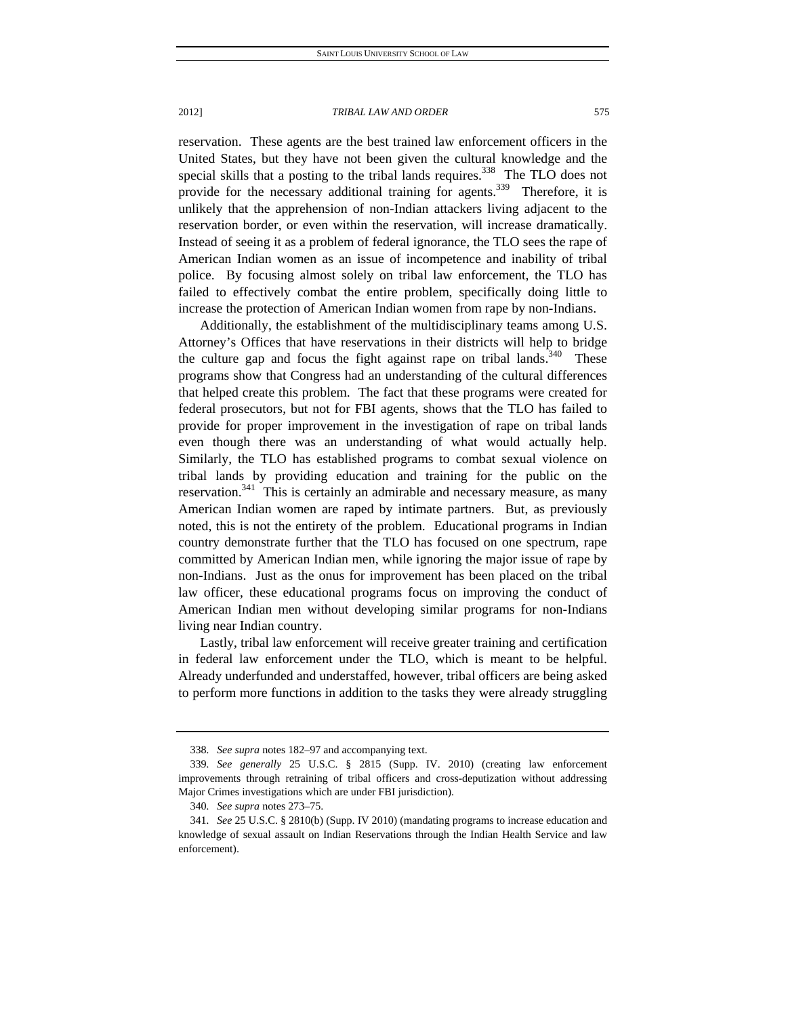reservation. These agents are the best trained law enforcement officers in the United States, but they have not been given the cultural knowledge and the special skills that a posting to the tribal lands requires.<sup>338</sup> The TLO does not provide for the necessary additional training for agents.<sup>339</sup> Therefore, it is unlikely that the apprehension of non-Indian attackers living adjacent to the reservation border, or even within the reservation, will increase dramatically. Instead of seeing it as a problem of federal ignorance, the TLO sees the rape of American Indian women as an issue of incompetence and inability of tribal police. By focusing almost solely on tribal law enforcement, the TLO has failed to effectively combat the entire problem, specifically doing little to increase the protection of American Indian women from rape by non-Indians.

Additionally, the establishment of the multidisciplinary teams among U.S. Attorney's Offices that have reservations in their districts will help to bridge the culture gap and focus the fight against rape on tribal lands.<sup>340</sup> These programs show that Congress had an understanding of the cultural differences that helped create this problem. The fact that these programs were created for federal prosecutors, but not for FBI agents, shows that the TLO has failed to provide for proper improvement in the investigation of rape on tribal lands even though there was an understanding of what would actually help. Similarly, the TLO has established programs to combat sexual violence on tribal lands by providing education and training for the public on the reservation.<sup>341</sup> This is certainly an admirable and necessary measure, as many American Indian women are raped by intimate partners. But, as previously noted, this is not the entirety of the problem. Educational programs in Indian country demonstrate further that the TLO has focused on one spectrum, rape committed by American Indian men, while ignoring the major issue of rape by non-Indians. Just as the onus for improvement has been placed on the tribal law officer, these educational programs focus on improving the conduct of American Indian men without developing similar programs for non-Indians living near Indian country.

Lastly, tribal law enforcement will receive greater training and certification in federal law enforcement under the TLO, which is meant to be helpful. Already underfunded and understaffed, however, tribal officers are being asked to perform more functions in addition to the tasks they were already struggling

<sup>338</sup>*. See supra* notes 182–97 and accompanying text.

<sup>339</sup>*. See generally* 25 U.S.C. § 2815 (Supp. IV. 2010) (creating law enforcement improvements through retraining of tribal officers and cross-deputization without addressing Major Crimes investigations which are under FBI jurisdiction).

<sup>340</sup>*. See supra* notes 273–75.

<sup>341</sup>*. See* 25 U.S.C. § 2810(b) (Supp. IV 2010) (mandating programs to increase education and knowledge of sexual assault on Indian Reservations through the Indian Health Service and law enforcement).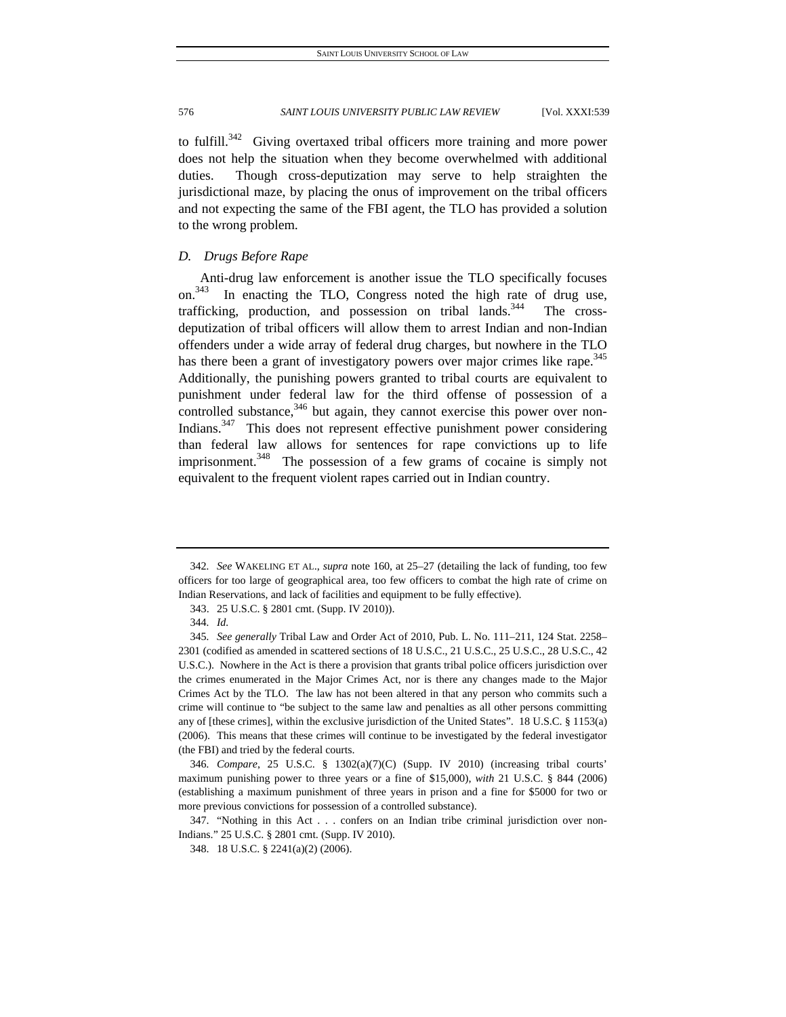to fulfill. $342$  Giving overtaxed tribal officers more training and more power does not help the situation when they become overwhelmed with additional duties. Though cross-deputization may serve to help straighten the jurisdictional maze, by placing the onus of improvement on the tribal officers and not expecting the same of the FBI agent, the TLO has provided a solution to the wrong problem.

## *D. Drugs Before Rape*

Anti-drug law enforcement is another issue the TLO specifically focuses on. In enacting the TLO, Congress noted the high rate of drug use, trafficking, production, and possession on tribal lands.<sup>344</sup> The crossdeputization of tribal officers will allow them to arrest Indian and non-Indian offenders under a wide array of federal drug charges, but nowhere in the TLO has there been a grant of investigatory powers over major crimes like rape.<sup>345</sup> Additionally, the punishing powers granted to tribal courts are equivalent to punishment under federal law for the third offense of possession of a controlled substance,  $346$  but again, they cannot exercise this power over non-Indians.<sup>347</sup> This does not represent effective punishment power considering than federal law allows for sentences for rape convictions up to life imprisonment.<sup>348</sup> The possession of a few grams of cocaine is simply not equivalent to the frequent violent rapes carried out in Indian country.

<sup>342</sup>*. See* WAKELING ET AL., *supra* note 160, at 25–27 (detailing the lack of funding, too few officers for too large of geographical area, too few officers to combat the high rate of crime on Indian Reservations, and lack of facilities and equipment to be fully effective).

 <sup>343. 25</sup> U.S.C. § 2801 cmt. (Supp. IV 2010)).

<sup>344</sup>*. Id.*

<sup>345</sup>*. See generally* Tribal Law and Order Act of 2010, Pub. L. No. 111–211, 124 Stat. 2258– 2301 (codified as amended in scattered sections of 18 U.S.C., 21 U.S.C., 25 U.S.C., 28 U.S.C., 42 U.S.C.). Nowhere in the Act is there a provision that grants tribal police officers jurisdiction over the crimes enumerated in the Major Crimes Act, nor is there any changes made to the Major Crimes Act by the TLO. The law has not been altered in that any person who commits such a crime will continue to "be subject to the same law and penalties as all other persons committing any of [these crimes], within the exclusive jurisdiction of the United States". 18 U.S.C. § 1153(a) (2006). This means that these crimes will continue to be investigated by the federal investigator (the FBI) and tried by the federal courts.

<sup>346</sup>*. Compare*, 25 U.S.C. § 1302(a)(7)(C) (Supp. IV 2010) (increasing tribal courts' maximum punishing power to three years or a fine of \$15,000), *with* 21 U.S.C. § 844 (2006) (establishing a maximum punishment of three years in prison and a fine for \$5000 for two or more previous convictions for possession of a controlled substance).

 <sup>347. &</sup>quot;Nothing in this Act . . . confers on an Indian tribe criminal jurisdiction over non-Indians." 25 U.S.C. § 2801 cmt. (Supp. IV 2010).

 <sup>348. 18</sup> U.S.C. § 2241(a)(2) (2006).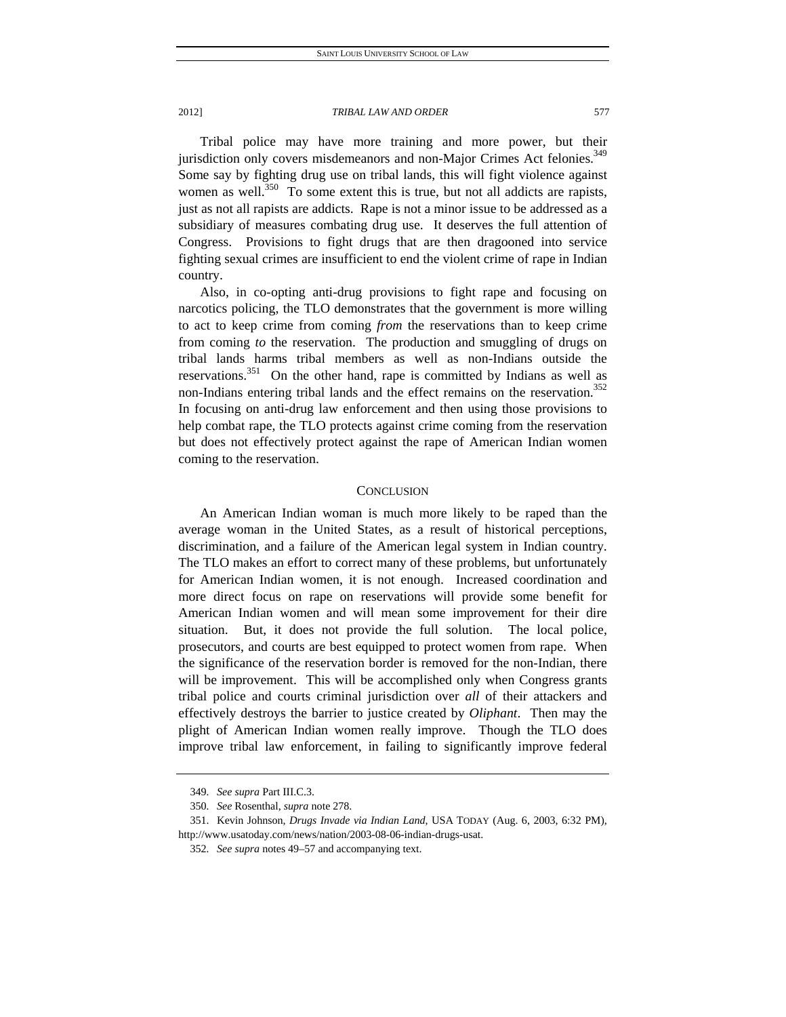Tribal police may have more training and more power, but their jurisdiction only covers misdemeanors and non-Major Crimes Act felonies.<sup>349</sup> Some say by fighting drug use on tribal lands, this will fight violence against women as well.<sup>350</sup> To some extent this is true, but not all addicts are rapists, just as not all rapists are addicts. Rape is not a minor issue to be addressed as a subsidiary of measures combating drug use. It deserves the full attention of Congress. Provisions to fight drugs that are then dragooned into service fighting sexual crimes are insufficient to end the violent crime of rape in Indian country.

Also, in co-opting anti-drug provisions to fight rape and focusing on narcotics policing, the TLO demonstrates that the government is more willing to act to keep crime from coming *from* the reservations than to keep crime from coming *to* the reservation. The production and smuggling of drugs on tribal lands harms tribal members as well as non-Indians outside the reservations.<sup>351</sup> On the other hand, rape is committed by Indians as well as non-Indians entering tribal lands and the effect remains on the reservation.<sup>352</sup> In focusing on anti-drug law enforcement and then using those provisions to help combat rape, the TLO protects against crime coming from the reservation but does not effectively protect against the rape of American Indian women coming to the reservation.

# **CONCLUSION**

An American Indian woman is much more likely to be raped than the average woman in the United States, as a result of historical perceptions, discrimination, and a failure of the American legal system in Indian country. The TLO makes an effort to correct many of these problems, but unfortunately for American Indian women, it is not enough. Increased coordination and more direct focus on rape on reservations will provide some benefit for American Indian women and will mean some improvement for their dire situation. But, it does not provide the full solution. The local police, prosecutors, and courts are best equipped to protect women from rape. When the significance of the reservation border is removed for the non-Indian, there will be improvement. This will be accomplished only when Congress grants tribal police and courts criminal jurisdiction over *all* of their attackers and effectively destroys the barrier to justice created by *Oliphant*. Then may the plight of American Indian women really improve. Though the TLO does improve tribal law enforcement, in failing to significantly improve federal

<sup>349</sup>*. See supra* Part III.C.3.

<sup>350</sup>*. See* Rosenthal, *supra* note 278.

 <sup>351.</sup> Kevin Johnson, *Drugs Invade via Indian Land*, USA TODAY (Aug. 6, 2003, 6:32 PM), http://www.usatoday.com/news/nation/2003-08-06-indian-drugs-usat.

<sup>352</sup>*. See supra* notes 49–57 and accompanying text.